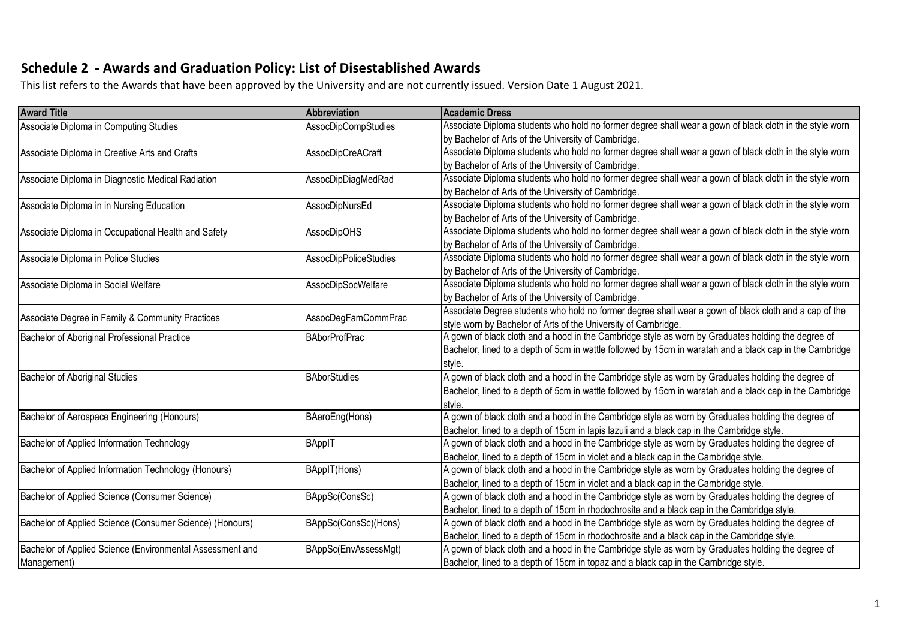## **Schedule 2 - Awards and Graduation Policy: List of Disestablished Awards**

This list refers to the Awards that have been approved by the University and are not currently issued. Version Date 1 August 2021.

| <b>Award Title</b>                                        | <b>Abbreviation</b>          | <b>Academic Dress</b>                                                                                    |
|-----------------------------------------------------------|------------------------------|----------------------------------------------------------------------------------------------------------|
| Associate Diploma in Computing Studies                    | AssocDipCompStudies          | Associate Diploma students who hold no former degree shall wear a gown of black cloth in the style worn  |
|                                                           |                              | by Bachelor of Arts of the University of Cambridge.                                                      |
| Associate Diploma in Creative Arts and Crafts             | <b>AssocDipCreACraft</b>     | Associate Diploma students who hold no former degree shall wear a gown of black cloth in the style worn  |
|                                                           |                              | by Bachelor of Arts of the University of Cambridge.                                                      |
| Associate Diploma in Diagnostic Medical Radiation         | AssocDipDiagMedRad           | Associate Diploma students who hold no former degree shall wear a gown of black cloth in the style worn  |
|                                                           |                              | by Bachelor of Arts of the University of Cambridge.                                                      |
| Associate Diploma in in Nursing Education                 | AssocDipNursEd               | Associate Diploma students who hold no former degree shall wear a gown of black cloth in the style worn  |
|                                                           |                              | by Bachelor of Arts of the University of Cambridge.                                                      |
| Associate Diploma in Occupational Health and Safety       | <b>AssocDipOHS</b>           | Associate Diploma students who hold no former degree shall wear a gown of black cloth in the style worn  |
|                                                           |                              | by Bachelor of Arts of the University of Cambridge.                                                      |
| Associate Diploma in Police Studies                       | <b>AssocDipPoliceStudies</b> | Associate Diploma students who hold no former degree shall wear a gown of black cloth in the style worn  |
|                                                           |                              | by Bachelor of Arts of the University of Cambridge.                                                      |
| Associate Diploma in Social Welfare                       | AssocDipSocWelfare           | Associate Diploma students who hold no former degree shall wear a gown of black cloth in the style worn  |
|                                                           |                              | by Bachelor of Arts of the University of Cambridge.                                                      |
|                                                           |                              | Associate Degree students who hold no former degree shall wear a gown of black cloth and a cap of the    |
| Associate Degree in Family & Community Practices          | AssocDegFamCommPrac          | style worn by Bachelor of Arts of the University of Cambridge.                                           |
| Bachelor of Aboriginal Professional Practice              | <b>BAborProfPrac</b>         | A gown of black cloth and a hood in the Cambridge style as worn by Graduates holding the degree of       |
|                                                           |                              | Bachelor, lined to a depth of 5cm in wattle followed by 15cm in waratah and a black cap in the Cambridge |
|                                                           |                              | style.                                                                                                   |
| <b>Bachelor of Aboriginal Studies</b>                     | <b>BAborStudies</b>          | A gown of black cloth and a hood in the Cambridge style as worn by Graduates holding the degree of       |
|                                                           |                              | Bachelor, lined to a depth of 5cm in wattle followed by 15cm in waratah and a black cap in the Cambridge |
|                                                           |                              | style.                                                                                                   |
| Bachelor of Aerospace Engineering (Honours)               | BAeroEng(Hons)               | A gown of black cloth and a hood in the Cambridge style as worn by Graduates holding the degree of       |
|                                                           |                              | Bachelor, lined to a depth of 15cm in lapis lazuli and a black cap in the Cambridge style.               |
| Bachelor of Applied Information Technology                | <b>BAppIT</b>                | A gown of black cloth and a hood in the Cambridge style as worn by Graduates holding the degree of       |
|                                                           |                              | Bachelor, lined to a depth of 15cm in violet and a black cap in the Cambridge style.                     |
| Bachelor of Applied Information Technology (Honours)      | BAppIT(Hons)                 | A gown of black cloth and a hood in the Cambridge style as worn by Graduates holding the degree of       |
|                                                           |                              | Bachelor, lined to a depth of 15cm in violet and a black cap in the Cambridge style.                     |
| Bachelor of Applied Science (Consumer Science)            | BAppSc(ConsSc)               | A gown of black cloth and a hood in the Cambridge style as worn by Graduates holding the degree of       |
|                                                           |                              | Bachelor, lined to a depth of 15cm in rhodochrosite and a black cap in the Cambridge style.              |
| Bachelor of Applied Science (Consumer Science) (Honours)  | BAppSc(ConsSc)(Hons)         | A gown of black cloth and a hood in the Cambridge style as worn by Graduates holding the degree of       |
|                                                           |                              | Bachelor, lined to a depth of 15cm in rhodochrosite and a black cap in the Cambridge style.              |
| Bachelor of Applied Science (Environmental Assessment and | BAppSc(EnvAssessMgt)         | A gown of black cloth and a hood in the Cambridge style as worn by Graduates holding the degree of       |
| Management)                                               |                              | Bachelor, lined to a depth of 15cm in topaz and a black cap in the Cambridge style.                      |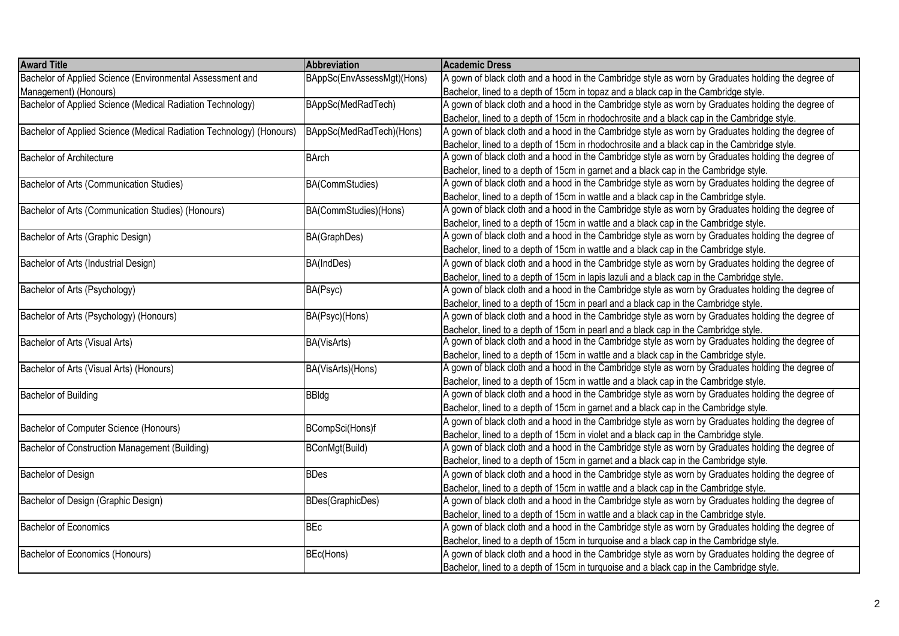| <b>Award Title</b>                                                   | Abbreviation               | <b>Academic Dress</b>                                                                              |
|----------------------------------------------------------------------|----------------------------|----------------------------------------------------------------------------------------------------|
| Bachelor of Applied Science (Environmental Assessment and            | BAppSc(EnvAssessMgt)(Hons) | A gown of black cloth and a hood in the Cambridge style as worn by Graduates holding the degree of |
| Management) (Honours)                                                |                            | Bachelor, lined to a depth of 15cm in topaz and a black cap in the Cambridge style.                |
| Bachelor of Applied Science (Medical Radiation Technology)           | BAppSc(MedRadTech)         | A gown of black cloth and a hood in the Cambridge style as worn by Graduates holding the degree of |
|                                                                      |                            | Bachelor, lined to a depth of 15cm in rhodochrosite and a black cap in the Cambridge style.        |
| Bachelor of Applied Science (Medical Radiation Technology) (Honours) | BAppSc(MedRadTech)(Hons)   | A gown of black cloth and a hood in the Cambridge style as worn by Graduates holding the degree of |
|                                                                      |                            | Bachelor, lined to a depth of 15cm in rhodochrosite and a black cap in the Cambridge style.        |
| <b>Bachelor of Architecture</b>                                      | <b>BArch</b>               | A gown of black cloth and a hood in the Cambridge style as worn by Graduates holding the degree of |
|                                                                      |                            | Bachelor, lined to a depth of 15cm in garnet and a black cap in the Cambridge style.               |
| Bachelor of Arts (Communication Studies)                             | BA(CommStudies)            | A gown of black cloth and a hood in the Cambridge style as worn by Graduates holding the degree of |
|                                                                      |                            | Bachelor, lined to a depth of 15cm in wattle and a black cap in the Cambridge style.               |
| Bachelor of Arts (Communication Studies) (Honours)                   | BA(CommStudies)(Hons)      | A gown of black cloth and a hood in the Cambridge style as worn by Graduates holding the degree of |
|                                                                      |                            | Bachelor, lined to a depth of 15cm in wattle and a black cap in the Cambridge style.               |
| Bachelor of Arts (Graphic Design)                                    | BA(GraphDes)               | A gown of black cloth and a hood in the Cambridge style as worn by Graduates holding the degree of |
|                                                                      |                            | Bachelor, lined to a depth of 15cm in wattle and a black cap in the Cambridge style.               |
| Bachelor of Arts (Industrial Design)                                 | BA(IndDes)                 | A gown of black cloth and a hood in the Cambridge style as worn by Graduates holding the degree of |
|                                                                      |                            | Bachelor, lined to a depth of 15cm in lapis lazuli and a black cap in the Cambridge style.         |
| Bachelor of Arts (Psychology)                                        | BA(Psyc)                   | A gown of black cloth and a hood in the Cambridge style as worn by Graduates holding the degree of |
|                                                                      |                            | Bachelor, lined to a depth of 15cm in pearl and a black cap in the Cambridge style.                |
| Bachelor of Arts (Psychology) (Honours)                              | BA(Psyc)(Hons)             | A gown of black cloth and a hood in the Cambridge style as worn by Graduates holding the degree of |
|                                                                      |                            | Bachelor, lined to a depth of 15cm in pearl and a black cap in the Cambridge style.                |
| Bachelor of Arts (Visual Arts)                                       | BA(VisArts)                | A gown of black cloth and a hood in the Cambridge style as worn by Graduates holding the degree of |
|                                                                      |                            | Bachelor, lined to a depth of 15cm in wattle and a black cap in the Cambridge style.               |
| Bachelor of Arts (Visual Arts) (Honours)                             | BA(VisArts)(Hons)          | A gown of black cloth and a hood in the Cambridge style as worn by Graduates holding the degree of |
|                                                                      |                            | Bachelor, lined to a depth of 15cm in wattle and a black cap in the Cambridge style.               |
| Bachelor of Building                                                 | <b>BBldg</b>               | A gown of black cloth and a hood in the Cambridge style as worn by Graduates holding the degree of |
|                                                                      |                            | Bachelor, lined to a depth of 15cm in garnet and a black cap in the Cambridge style.               |
| Bachelor of Computer Science (Honours)                               | BCompSci(Hons)f            | A gown of black cloth and a hood in the Cambridge style as worn by Graduates holding the degree of |
|                                                                      |                            | Bachelor, lined to a depth of 15cm in violet and a black cap in the Cambridge style.               |
| Bachelor of Construction Management (Building)                       | BConMgt(Build)             | A gown of black cloth and a hood in the Cambridge style as worn by Graduates holding the degree of |
|                                                                      |                            | Bachelor, lined to a depth of 15cm in garnet and a black cap in the Cambridge style.               |
| <b>Bachelor of Design</b>                                            | <b>BDes</b>                | A gown of black cloth and a hood in the Cambridge style as worn by Graduates holding the degree of |
|                                                                      |                            | Bachelor, lined to a depth of 15cm in wattle and a black cap in the Cambridge style.               |
| Bachelor of Design (Graphic Design)                                  | BDes(GraphicDes)           | A gown of black cloth and a hood in the Cambridge style as worn by Graduates holding the degree of |
|                                                                      |                            | Bachelor, lined to a depth of 15cm in wattle and a black cap in the Cambridge style.               |
| Bachelor of Economics                                                | <b>BEc</b>                 | A gown of black cloth and a hood in the Cambridge style as worn by Graduates holding the degree of |
|                                                                      |                            | Bachelor, lined to a depth of 15cm in turquoise and a black cap in the Cambridge style.            |
| Bachelor of Economics (Honours)                                      | BEc(Hons)                  | A gown of black cloth and a hood in the Cambridge style as worn by Graduates holding the degree of |
|                                                                      |                            | Bachelor, lined to a depth of 15cm in turquoise and a black cap in the Cambridge style.            |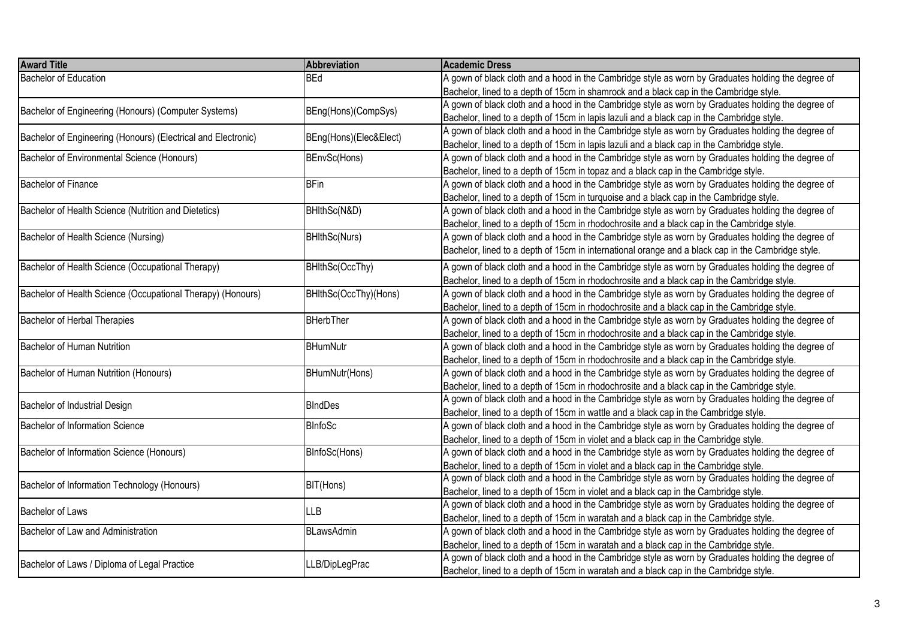| <b>Award Title</b>                                            | Abbreviation           | <b>Academic Dress</b>                                                                              |
|---------------------------------------------------------------|------------------------|----------------------------------------------------------------------------------------------------|
| Bachelor of Education                                         | <b>BEd</b>             | A gown of black cloth and a hood in the Cambridge style as worn by Graduates holding the degree of |
|                                                               |                        | Bachelor, lined to a depth of 15cm in shamrock and a black cap in the Cambridge style.             |
|                                                               |                        | A gown of black cloth and a hood in the Cambridge style as worn by Graduates holding the degree of |
| Bachelor of Engineering (Honours) (Computer Systems)          | BEng(Hons)(CompSys)    | Bachelor, lined to a depth of 15cm in lapis lazuli and a black cap in the Cambridge style.         |
|                                                               |                        | A gown of black cloth and a hood in the Cambridge style as worn by Graduates holding the degree of |
| Bachelor of Engineering (Honours) (Electrical and Electronic) | BEng(Hons)(Elec&Elect) | Bachelor, lined to a depth of 15cm in lapis lazuli and a black cap in the Cambridge style.         |
| <b>Bachelor of Environmental Science (Honours)</b>            | BEnvSc(Hons)           | A gown of black cloth and a hood in the Cambridge style as worn by Graduates holding the degree of |
|                                                               |                        | Bachelor, lined to a depth of 15cm in topaz and a black cap in the Cambridge style.                |
| <b>Bachelor of Finance</b>                                    | <b>BFin</b>            | A gown of black cloth and a hood in the Cambridge style as worn by Graduates holding the degree of |
|                                                               |                        | Bachelor, lined to a depth of 15cm in turquoise and a black cap in the Cambridge style.            |
| Bachelor of Health Science (Nutrition and Dietetics)          | BHIthSc(N&D)           | A gown of black cloth and a hood in the Cambridge style as worn by Graduates holding the degree of |
|                                                               |                        | Bachelor, lined to a depth of 15cm in rhodochrosite and a black cap in the Cambridge style.        |
| Bachelor of Health Science (Nursing)                          | <b>BHIthSc(Nurs)</b>   | A gown of black cloth and a hood in the Cambridge style as worn by Graduates holding the degree of |
|                                                               |                        | Bachelor, lined to a depth of 15cm in international orange and a black cap in the Cambridge style. |
| Bachelor of Health Science (Occupational Therapy)             | BHIthSc(OccThy)        | A gown of black cloth and a hood in the Cambridge style as worn by Graduates holding the degree of |
|                                                               |                        | Bachelor, lined to a depth of 15cm in rhodochrosite and a black cap in the Cambridge style.        |
| Bachelor of Health Science (Occupational Therapy) (Honours)   | BHIthSc(OccThy)(Hons)  | A gown of black cloth and a hood in the Cambridge style as worn by Graduates holding the degree of |
|                                                               |                        | Bachelor, lined to a depth of 15cm in rhodochrosite and a black cap in the Cambridge style.        |
| Bachelor of Herbal Therapies                                  | <b>BHerbTher</b>       | A gown of black cloth and a hood in the Cambridge style as worn by Graduates holding the degree of |
|                                                               |                        | Bachelor, lined to a depth of 15cm in rhodochrosite and a black cap in the Cambridge style.        |
| <b>Bachelor of Human Nutrition</b>                            | <b>BHumNutr</b>        | A gown of black cloth and a hood in the Cambridge style as worn by Graduates holding the degree of |
|                                                               |                        | Bachelor, lined to a depth of 15cm in rhodochrosite and a black cap in the Cambridge style.        |
| Bachelor of Human Nutrition (Honours)                         | BHumNutr(Hons)         | A gown of black cloth and a hood in the Cambridge style as worn by Graduates holding the degree of |
|                                                               |                        | Bachelor, lined to a depth of 15cm in rhodochrosite and a black cap in the Cambridge style.        |
|                                                               |                        | A gown of black cloth and a hood in the Cambridge style as worn by Graduates holding the degree of |
| <b>BIndDes</b><br>Bachelor of Industrial Design               |                        | Bachelor, lined to a depth of 15cm in wattle and a black cap in the Cambridge style.               |
| Bachelor of Information Science                               | <b>BInfoSc</b>         | A gown of black cloth and a hood in the Cambridge style as worn by Graduates holding the degree of |
|                                                               |                        | Bachelor, lined to a depth of 15cm in violet and a black cap in the Cambridge style.               |
| Bachelor of Information Science (Honours)                     | BInfoSc(Hons)          | A gown of black cloth and a hood in the Cambridge style as worn by Graduates holding the degree of |
|                                                               |                        | Bachelor, lined to a depth of 15cm in violet and a black cap in the Cambridge style.               |
|                                                               |                        | A gown of black cloth and a hood in the Cambridge style as worn by Graduates holding the degree of |
| Bachelor of Information Technology (Honours)                  | BIT(Hons)              | Bachelor, lined to a depth of 15cm in violet and a black cap in the Cambridge style.               |
| <b>Bachelor of Laws</b>                                       |                        | A gown of black cloth and a hood in the Cambridge style as worn by Graduates holding the degree of |
|                                                               | <b>LLB</b>             | Bachelor, lined to a depth of 15cm in waratah and a black cap in the Cambridge style.              |
| Bachelor of Law and Administration                            | <b>BLawsAdmin</b>      | A gown of black cloth and a hood in the Cambridge style as worn by Graduates holding the degree of |
|                                                               |                        | Bachelor, lined to a depth of 15cm in waratah and a black cap in the Cambridge style.              |
|                                                               | LLB/DipLegPrac         | A gown of black cloth and a hood in the Cambridge style as worn by Graduates holding the degree of |
| Bachelor of Laws / Diploma of Legal Practice                  |                        | Bachelor, lined to a depth of 15cm in waratah and a black cap in the Cambridge style.              |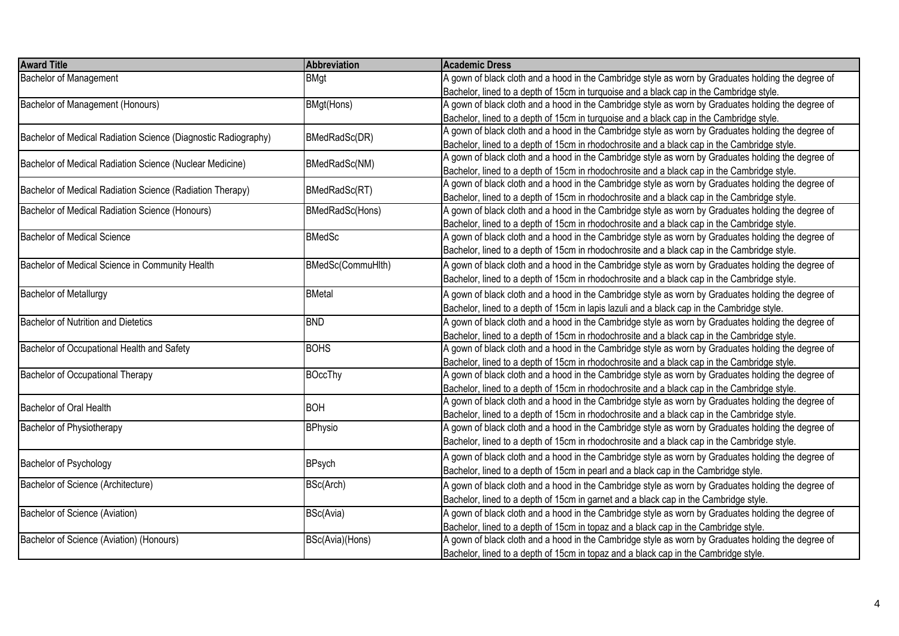| <b>Award Title</b>                                             | Abbreviation      | <b>Academic Dress</b>                                                                              |
|----------------------------------------------------------------|-------------------|----------------------------------------------------------------------------------------------------|
| <b>Bachelor of Management</b>                                  | <b>BMgt</b>       | A gown of black cloth and a hood in the Cambridge style as worn by Graduates holding the degree of |
|                                                                |                   | Bachelor, lined to a depth of 15cm in turquoise and a black cap in the Cambridge style.            |
| Bachelor of Management (Honours)                               | BMgt(Hons)        | A gown of black cloth and a hood in the Cambridge style as worn by Graduates holding the degree of |
|                                                                |                   | Bachelor, lined to a depth of 15cm in turquoise and a black cap in the Cambridge style.            |
|                                                                | BMedRadSc(DR)     | A gown of black cloth and a hood in the Cambridge style as worn by Graduates holding the degree of |
| Bachelor of Medical Radiation Science (Diagnostic Radiography) |                   | Bachelor, lined to a depth of 15cm in rhodochrosite and a black cap in the Cambridge style.        |
|                                                                |                   | A gown of black cloth and a hood in the Cambridge style as worn by Graduates holding the degree of |
| Bachelor of Medical Radiation Science (Nuclear Medicine)       | BMedRadSc(NM)     | Bachelor, lined to a depth of 15cm in rhodochrosite and a black cap in the Cambridge style.        |
|                                                                |                   | A gown of black cloth and a hood in the Cambridge style as worn by Graduates holding the degree of |
| Bachelor of Medical Radiation Science (Radiation Therapy)      | BMedRadSc(RT)     | Bachelor, lined to a depth of 15cm in rhodochrosite and a black cap in the Cambridge style.        |
| Bachelor of Medical Radiation Science (Honours)                | BMedRadSc(Hons)   | A gown of black cloth and a hood in the Cambridge style as worn by Graduates holding the degree of |
|                                                                |                   | Bachelor, lined to a depth of 15cm in rhodochrosite and a black cap in the Cambridge style.        |
| Bachelor of Medical Science                                    | <b>BMedSc</b>     | A gown of black cloth and a hood in the Cambridge style as worn by Graduates holding the degree of |
|                                                                |                   | Bachelor, lined to a depth of 15cm in rhodochrosite and a black cap in the Cambridge style.        |
| Bachelor of Medical Science in Community Health                | BMedSc(CommuHlth) | A gown of black cloth and a hood in the Cambridge style as worn by Graduates holding the degree of |
|                                                                |                   | Bachelor, lined to a depth of 15cm in rhodochrosite and a black cap in the Cambridge style.        |
| <b>Bachelor of Metallurgy</b>                                  | <b>BMetal</b>     | A gown of black cloth and a hood in the Cambridge style as worn by Graduates holding the degree of |
|                                                                |                   | Bachelor, lined to a depth of 15cm in lapis lazuli and a black cap in the Cambridge style.         |
| Bachelor of Nutrition and Dietetics                            | <b>BND</b>        | A gown of black cloth and a hood in the Cambridge style as worn by Graduates holding the degree of |
|                                                                |                   | Bachelor, lined to a depth of 15cm in rhodochrosite and a black cap in the Cambridge style.        |
| Bachelor of Occupational Health and Safety                     | <b>BOHS</b>       | A gown of black cloth and a hood in the Cambridge style as worn by Graduates holding the degree of |
|                                                                |                   | Bachelor, lined to a depth of 15cm in rhodochrosite and a black cap in the Cambridge style.        |
| Bachelor of Occupational Therapy                               | <b>BOccThy</b>    | A gown of black cloth and a hood in the Cambridge style as worn by Graduates holding the degree of |
|                                                                |                   | Bachelor, lined to a depth of 15cm in rhodochrosite and a black cap in the Cambridge style.        |
|                                                                |                   | A gown of black cloth and a hood in the Cambridge style as worn by Graduates holding the degree of |
| Bachelor of Oral Health                                        | <b>BOH</b>        | Bachelor, lined to a depth of 15cm in rhodochrosite and a black cap in the Cambridge style.        |
| Bachelor of Physiotherapy                                      | <b>BPhysio</b>    | A gown of black cloth and a hood in the Cambridge style as worn by Graduates holding the degree of |
|                                                                |                   | Bachelor, lined to a depth of 15cm in rhodochrosite and a black cap in the Cambridge style.        |
|                                                                |                   | A gown of black cloth and a hood in the Cambridge style as worn by Graduates holding the degree of |
| Bachelor of Psychology                                         | <b>BPsych</b>     |                                                                                                    |
|                                                                |                   | Bachelor, lined to a depth of 15cm in pearl and a black cap in the Cambridge style.                |
| Bachelor of Science (Architecture)                             | BSc(Arch)         | A gown of black cloth and a hood in the Cambridge style as worn by Graduates holding the degree of |
|                                                                |                   | Bachelor, lined to a depth of 15cm in garnet and a black cap in the Cambridge style.               |
| Bachelor of Science (Aviation)                                 | BSc(Avia)         | A gown of black cloth and a hood in the Cambridge style as worn by Graduates holding the degree of |
|                                                                |                   | Bachelor, lined to a depth of 15cm in topaz and a black cap in the Cambridge style.                |
| Bachelor of Science (Aviation) (Honours)                       | BSc(Avia)(Hons)   | A gown of black cloth and a hood in the Cambridge style as worn by Graduates holding the degree of |
|                                                                |                   | Bachelor, lined to a depth of 15cm in topaz and a black cap in the Cambridge style.                |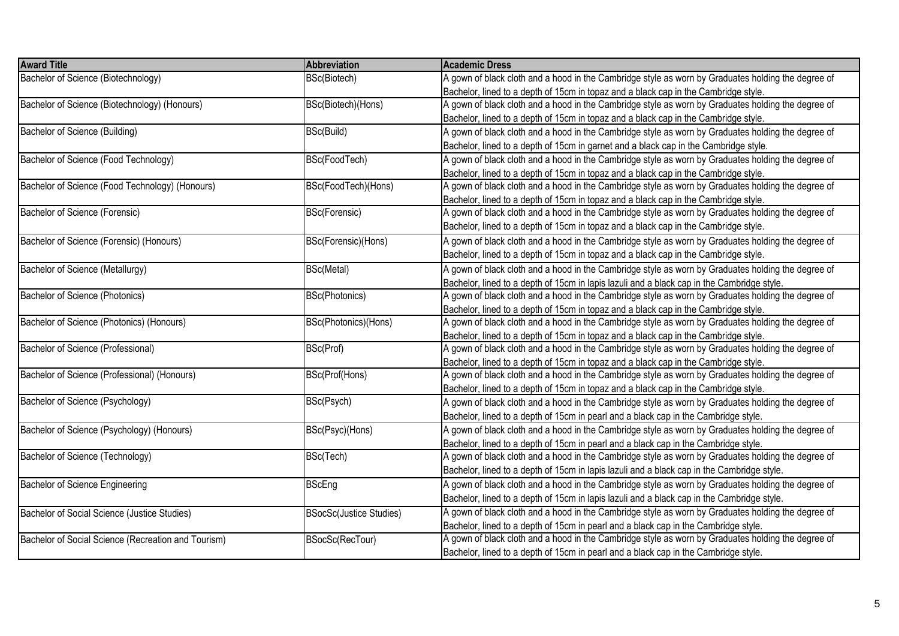| <b>Award Title</b>                                  | <b>Abbreviation</b>            | <b>Academic Dress</b>                                                                              |
|-----------------------------------------------------|--------------------------------|----------------------------------------------------------------------------------------------------|
| Bachelor of Science (Biotechnology)                 | BSc(Biotech)                   | A gown of black cloth and a hood in the Cambridge style as worn by Graduates holding the degree of |
|                                                     |                                | Bachelor, lined to a depth of 15cm in topaz and a black cap in the Cambridge style.                |
| Bachelor of Science (Biotechnology) (Honours)       | BSc(Biotech)(Hons)             | A gown of black cloth and a hood in the Cambridge style as worn by Graduates holding the degree of |
|                                                     |                                | Bachelor, lined to a depth of 15cm in topaz and a black cap in the Cambridge style.                |
| Bachelor of Science (Building)                      | BSc(Build)                     | A gown of black cloth and a hood in the Cambridge style as worn by Graduates holding the degree of |
|                                                     |                                | Bachelor, lined to a depth of 15cm in garnet and a black cap in the Cambridge style.               |
| Bachelor of Science (Food Technology)               | BSc(FoodTech)                  | A gown of black cloth and a hood in the Cambridge style as worn by Graduates holding the degree of |
|                                                     |                                | Bachelor, lined to a depth of 15cm in topaz and a black cap in the Cambridge style.                |
| Bachelor of Science (Food Technology) (Honours)     | BSc(FoodTech)(Hons)            | A gown of black cloth and a hood in the Cambridge style as worn by Graduates holding the degree of |
|                                                     |                                | Bachelor, lined to a depth of 15cm in topaz and a black cap in the Cambridge style.                |
| Bachelor of Science (Forensic)                      | BSc(Forensic)                  | A gown of black cloth and a hood in the Cambridge style as worn by Graduates holding the degree of |
|                                                     |                                | Bachelor, lined to a depth of 15cm in topaz and a black cap in the Cambridge style.                |
| Bachelor of Science (Forensic) (Honours)            | BSc(Forensic)(Hons)            | A gown of black cloth and a hood in the Cambridge style as worn by Graduates holding the degree of |
|                                                     |                                | Bachelor, lined to a depth of 15cm in topaz and a black cap in the Cambridge style.                |
| Bachelor of Science (Metallurgy)                    | BSc(Metal)                     | A gown of black cloth and a hood in the Cambridge style as worn by Graduates holding the degree of |
|                                                     |                                | Bachelor, lined to a depth of 15cm in lapis lazuli and a black cap in the Cambridge style.         |
| Bachelor of Science (Photonics)                     | BSc(Photonics)                 | A gown of black cloth and a hood in the Cambridge style as worn by Graduates holding the degree of |
|                                                     |                                | Bachelor, lined to a depth of 15cm in topaz and a black cap in the Cambridge style.                |
| Bachelor of Science (Photonics) (Honours)           | BSc(Photonics)(Hons)           | A gown of black cloth and a hood in the Cambridge style as worn by Graduates holding the degree of |
|                                                     |                                | Bachelor, lined to a depth of 15cm in topaz and a black cap in the Cambridge style.                |
| Bachelor of Science (Professional)                  | BSc(Prof)                      | A gown of black cloth and a hood in the Cambridge style as worn by Graduates holding the degree of |
|                                                     |                                | Bachelor, lined to a depth of 15cm in topaz and a black cap in the Cambridge style.                |
| Bachelor of Science (Professional) (Honours)        | BSc(Prof(Hons)                 | A gown of black cloth and a hood in the Cambridge style as worn by Graduates holding the degree of |
|                                                     |                                | Bachelor, lined to a depth of 15cm in topaz and a black cap in the Cambridge style.                |
| Bachelor of Science (Psychology)                    | BSc(Psych)                     | A gown of black cloth and a hood in the Cambridge style as worn by Graduates holding the degree of |
|                                                     |                                | Bachelor, lined to a depth of 15cm in pearl and a black cap in the Cambridge style.                |
| Bachelor of Science (Psychology) (Honours)          | BSc(Psyc)(Hons)                | A gown of black cloth and a hood in the Cambridge style as worn by Graduates holding the degree of |
|                                                     |                                | Bachelor, lined to a depth of 15cm in pearl and a black cap in the Cambridge style.                |
| <b>Bachelor of Science (Technology)</b>             | BSc(Tech)                      | A gown of black cloth and a hood in the Cambridge style as worn by Graduates holding the degree of |
|                                                     |                                | Bachelor, lined to a depth of 15cm in lapis lazuli and a black cap in the Cambridge style.         |
| <b>Bachelor of Science Engineering</b>              | <b>BScEng</b>                  | A gown of black cloth and a hood in the Cambridge style as worn by Graduates holding the degree of |
|                                                     |                                | Bachelor, lined to a depth of 15cm in lapis lazuli and a black cap in the Cambridge style.         |
| Bachelor of Social Science (Justice Studies)        | <b>BSocSc(Justice Studies)</b> | A gown of black cloth and a hood in the Cambridge style as worn by Graduates holding the degree of |
|                                                     |                                | Bachelor, lined to a depth of 15cm in pearl and a black cap in the Cambridge style.                |
| Bachelor of Social Science (Recreation and Tourism) | BSocSc(RecTour)                | A gown of black cloth and a hood in the Cambridge style as worn by Graduates holding the degree of |
|                                                     |                                | Bachelor, lined to a depth of 15cm in pearl and a black cap in the Cambridge style.                |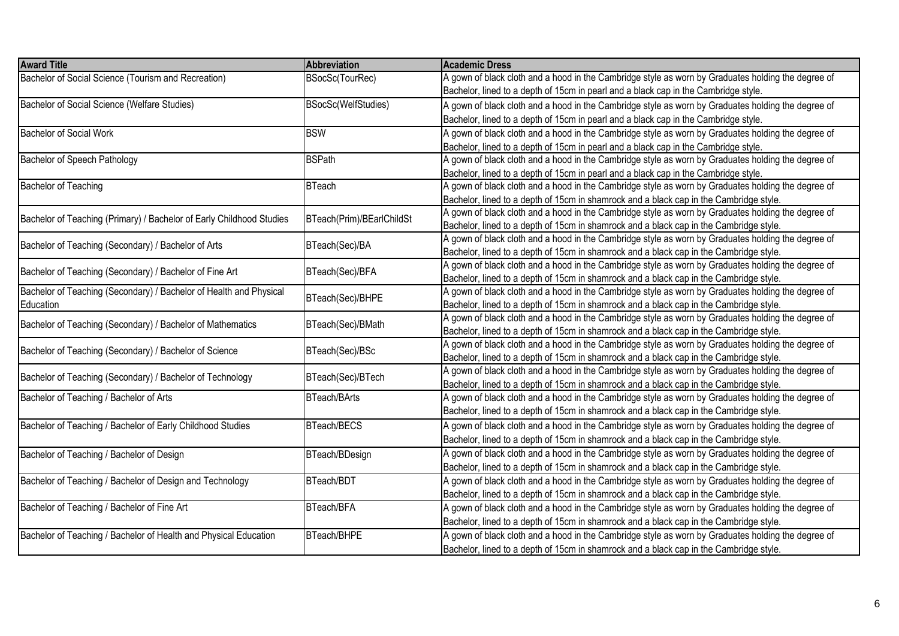| <b>Award Title</b>                                                   | <b>Abbreviation</b>       | <b>Academic Dress</b>                                                                              |
|----------------------------------------------------------------------|---------------------------|----------------------------------------------------------------------------------------------------|
| Bachelor of Social Science (Tourism and Recreation)                  | BSocSc(TourRec)           | A gown of black cloth and a hood in the Cambridge style as worn by Graduates holding the degree of |
|                                                                      |                           | Bachelor, lined to a depth of 15cm in pearl and a black cap in the Cambridge style.                |
| Bachelor of Social Science (Welfare Studies)                         | BSocSc(WelfStudies)       | A gown of black cloth and a hood in the Cambridge style as worn by Graduates holding the degree of |
|                                                                      |                           | Bachelor, lined to a depth of 15cm in pearl and a black cap in the Cambridge style.                |
| <b>Bachelor of Social Work</b>                                       | <b>BSW</b>                | A gown of black cloth and a hood in the Cambridge style as worn by Graduates holding the degree of |
|                                                                      |                           | Bachelor, lined to a depth of 15cm in pearl and a black cap in the Cambridge style.                |
| <b>Bachelor of Speech Pathology</b>                                  | <b>BSPath</b>             | A gown of black cloth and a hood in the Cambridge style as worn by Graduates holding the degree of |
|                                                                      |                           | Bachelor, lined to a depth of 15cm in pearl and a black cap in the Cambridge style.                |
| <b>Bachelor of Teaching</b>                                          | <b>BTeach</b>             | A gown of black cloth and a hood in the Cambridge style as worn by Graduates holding the degree of |
|                                                                      |                           | Bachelor, lined to a depth of 15cm in shamrock and a black cap in the Cambridge style.             |
| Bachelor of Teaching (Primary) / Bachelor of Early Childhood Studies | BTeach(Prim)/BEarlChildSt | A gown of black cloth and a hood in the Cambridge style as worn by Graduates holding the degree of |
|                                                                      |                           | Bachelor, lined to a depth of 15cm in shamrock and a black cap in the Cambridge style.             |
| Bachelor of Teaching (Secondary) / Bachelor of Arts                  | BTeach(Sec)/BA            | A gown of black cloth and a hood in the Cambridge style as worn by Graduates holding the degree of |
|                                                                      |                           | Bachelor, lined to a depth of 15cm in shamrock and a black cap in the Cambridge style.             |
| Bachelor of Teaching (Secondary) / Bachelor of Fine Art              | BTeach(Sec)/BFA           | A gown of black cloth and a hood in the Cambridge style as worn by Graduates holding the degree of |
|                                                                      |                           | Bachelor, lined to a depth of 15cm in shamrock and a black cap in the Cambridge style.             |
| Bachelor of Teaching (Secondary) / Bachelor of Health and Physical   | BTeach(Sec)/BHPE          | A gown of black cloth and a hood in the Cambridge style as worn by Graduates holding the degree of |
| Education                                                            |                           | Bachelor, lined to a depth of 15cm in shamrock and a black cap in the Cambridge style.             |
| Bachelor of Teaching (Secondary) / Bachelor of Mathematics           | BTeach(Sec)/BMath         | A gown of black cloth and a hood in the Cambridge style as worn by Graduates holding the degree of |
|                                                                      |                           | Bachelor, lined to a depth of 15cm in shamrock and a black cap in the Cambridge style.             |
| Bachelor of Teaching (Secondary) / Bachelor of Science               | BTeach(Sec)/BSc           | A gown of black cloth and a hood in the Cambridge style as worn by Graduates holding the degree of |
|                                                                      |                           | Bachelor, lined to a depth of 15cm in shamrock and a black cap in the Cambridge style.             |
| Bachelor of Teaching (Secondary) / Bachelor of Technology            | BTeach(Sec)/BTech         | A gown of black cloth and a hood in the Cambridge style as worn by Graduates holding the degree of |
|                                                                      |                           | Bachelor, lined to a depth of 15cm in shamrock and a black cap in the Cambridge style.             |
| Bachelor of Teaching / Bachelor of Arts                              | <b>BTeach/BArts</b>       | A gown of black cloth and a hood in the Cambridge style as worn by Graduates holding the degree of |
|                                                                      |                           | Bachelor, lined to a depth of 15cm in shamrock and a black cap in the Cambridge style.             |
| Bachelor of Teaching / Bachelor of Early Childhood Studies           | BTeach/BECS               | A gown of black cloth and a hood in the Cambridge style as worn by Graduates holding the degree of |
|                                                                      |                           | Bachelor, lined to a depth of 15cm in shamrock and a black cap in the Cambridge style.             |
| Bachelor of Teaching / Bachelor of Design                            | BTeach/BDesign            | A gown of black cloth and a hood in the Cambridge style as worn by Graduates holding the degree of |
|                                                                      |                           | Bachelor, lined to a depth of 15cm in shamrock and a black cap in the Cambridge style.             |
| Bachelor of Teaching / Bachelor of Design and Technology             | BTeach/BDT                | A gown of black cloth and a hood in the Cambridge style as worn by Graduates holding the degree of |
|                                                                      |                           | Bachelor, lined to a depth of 15cm in shamrock and a black cap in the Cambridge style.             |
| Bachelor of Teaching / Bachelor of Fine Art                          | BTeach/BFA                | A gown of black cloth and a hood in the Cambridge style as worn by Graduates holding the degree of |
|                                                                      |                           | Bachelor, lined to a depth of 15cm in shamrock and a black cap in the Cambridge style.             |
| Bachelor of Teaching / Bachelor of Health and Physical Education     | BTeach/BHPE               | A gown of black cloth and a hood in the Cambridge style as worn by Graduates holding the degree of |
|                                                                      |                           | Bachelor, lined to a depth of 15cm in shamrock and a black cap in the Cambridge style.             |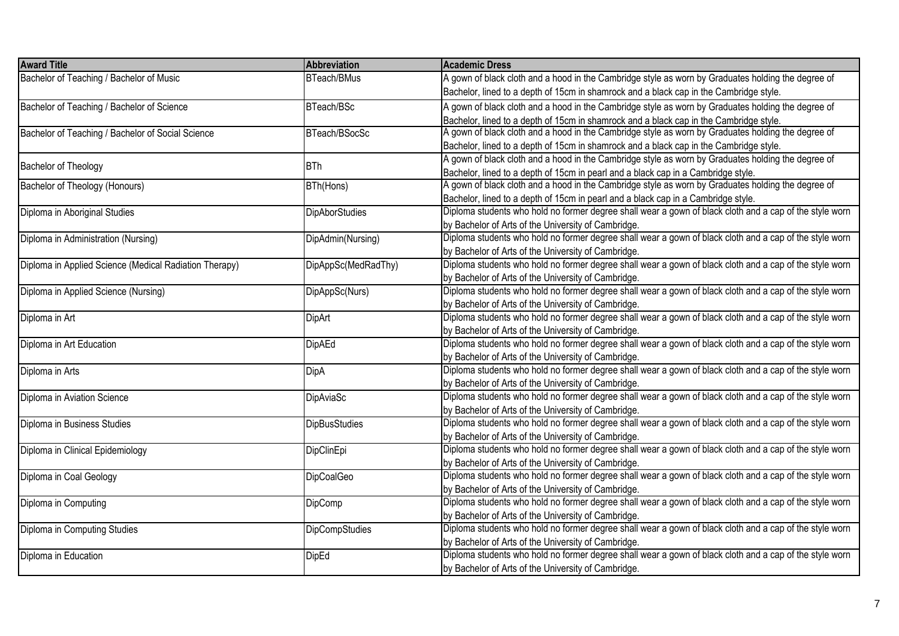| <b>Award Title</b>                                     | Abbreviation          | <b>Academic Dress</b>                                                                                   |
|--------------------------------------------------------|-----------------------|---------------------------------------------------------------------------------------------------------|
| Bachelor of Teaching / Bachelor of Music               | BTeach/BMus           | A gown of black cloth and a hood in the Cambridge style as worn by Graduates holding the degree of      |
|                                                        |                       | Bachelor, lined to a depth of 15cm in shamrock and a black cap in the Cambridge style.                  |
| Bachelor of Teaching / Bachelor of Science             | BTeach/BSc            | A gown of black cloth and a hood in the Cambridge style as worn by Graduates holding the degree of      |
|                                                        |                       | Bachelor, lined to a depth of 15cm in shamrock and a black cap in the Cambridge style.                  |
| Bachelor of Teaching / Bachelor of Social Science      | BTeach/BSocSc         | A gown of black cloth and a hood in the Cambridge style as worn by Graduates holding the degree of      |
|                                                        |                       | Bachelor, lined to a depth of 15cm in shamrock and a black cap in the Cambridge style.                  |
| Bachelor of Theology                                   | <b>BTh</b>            | A gown of black cloth and a hood in the Cambridge style as worn by Graduates holding the degree of      |
|                                                        |                       | Bachelor, lined to a depth of 15cm in pearl and a black cap in a Cambridge style.                       |
| <b>Bachelor of Theology (Honours)</b>                  | BTh(Hons)             | A gown of black cloth and a hood in the Cambridge style as worn by Graduates holding the degree of      |
|                                                        |                       | Bachelor, lined to a depth of 15cm in pearl and a black cap in a Cambridge style.                       |
| Diploma in Aboriginal Studies                          | <b>DipAborStudies</b> | Diploma students who hold no former degree shall wear a gown of black cloth and a cap of the style worn |
|                                                        |                       | by Bachelor of Arts of the University of Cambridge.                                                     |
| Diploma in Administration (Nursing)                    | DipAdmin(Nursing)     | Diploma students who hold no former degree shall wear a gown of black cloth and a cap of the style worn |
|                                                        |                       | by Bachelor of Arts of the University of Cambridge.                                                     |
| Diploma in Applied Science (Medical Radiation Therapy) | DipAppSc(MedRadThy)   | Diploma students who hold no former degree shall wear a gown of black cloth and a cap of the style worn |
|                                                        |                       | by Bachelor of Arts of the University of Cambridge.                                                     |
| Diploma in Applied Science (Nursing)                   | DipAppSc(Nurs)        | Diploma students who hold no former degree shall wear a gown of black cloth and a cap of the style worn |
|                                                        |                       | by Bachelor of Arts of the University of Cambridge.                                                     |
| Diploma in Art                                         | <b>DipArt</b>         | Diploma students who hold no former degree shall wear a gown of black cloth and a cap of the style worn |
|                                                        |                       | by Bachelor of Arts of the University of Cambridge.                                                     |
| Diploma in Art Education                               | <b>DipAEd</b>         | Diploma students who hold no former degree shall wear a gown of black cloth and a cap of the style worn |
|                                                        |                       | by Bachelor of Arts of the University of Cambridge.                                                     |
| Diploma in Arts                                        | DipA                  | Diploma students who hold no former degree shall wear a gown of black cloth and a cap of the style worn |
|                                                        |                       | by Bachelor of Arts of the University of Cambridge.                                                     |
| Diploma in Aviation Science                            | DipAviaSc             | Diploma students who hold no former degree shall wear a gown of black cloth and a cap of the style worn |
|                                                        |                       | by Bachelor of Arts of the University of Cambridge.                                                     |
| Diploma in Business Studies                            | <b>DipBusStudies</b>  | Diploma students who hold no former degree shall wear a gown of black cloth and a cap of the style worn |
|                                                        |                       | by Bachelor of Arts of the University of Cambridge.                                                     |
| Diploma in Clinical Epidemiology                       | DipClinEpi            | Diploma students who hold no former degree shall wear a gown of black cloth and a cap of the style worn |
|                                                        |                       | by Bachelor of Arts of the University of Cambridge.                                                     |
| Diploma in Coal Geology                                | <b>DipCoalGeo</b>     | Diploma students who hold no former degree shall wear a gown of black cloth and a cap of the style worn |
|                                                        |                       | by Bachelor of Arts of the University of Cambridge.                                                     |
| Diploma in Computing                                   | DipComp               | Diploma students who hold no former degree shall wear a gown of black cloth and a cap of the style worn |
|                                                        |                       | by Bachelor of Arts of the University of Cambridge.                                                     |
| Diploma in Computing Studies                           | DipCompStudies        | Diploma students who hold no former degree shall wear a gown of black cloth and a cap of the style worn |
|                                                        |                       | by Bachelor of Arts of the University of Cambridge.                                                     |
| Diploma in Education                                   | <b>DipEd</b>          | Diploma students who hold no former degree shall wear a gown of black cloth and a cap of the style worn |
|                                                        |                       | by Bachelor of Arts of the University of Cambridge.                                                     |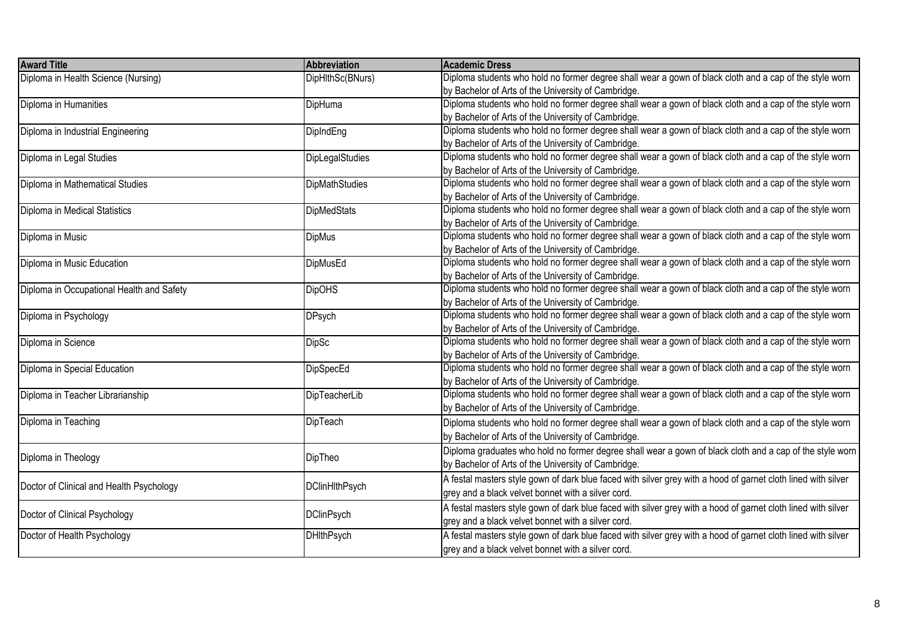| <b>Award Title</b>                        | Abbreviation           | <b>Academic Dress</b>                                                                                         |
|-------------------------------------------|------------------------|---------------------------------------------------------------------------------------------------------------|
| Diploma in Health Science (Nursing)       | DipHlthSc(BNurs)       | Diploma students who hold no former degree shall wear a gown of black cloth and a cap of the style worn       |
|                                           |                        | by Bachelor of Arts of the University of Cambridge.                                                           |
| Diploma in Humanities                     | DipHuma                | Diploma students who hold no former degree shall wear a gown of black cloth and a cap of the style worn       |
|                                           |                        | by Bachelor of Arts of the University of Cambridge.                                                           |
| Diploma in Industrial Engineering         | DipIndEng              | Diploma students who hold no former degree shall wear a gown of black cloth and a cap of the style worn       |
|                                           |                        | by Bachelor of Arts of the University of Cambridge.                                                           |
| Diploma in Legal Studies                  | <b>DipLegalStudies</b> | Diploma students who hold no former degree shall wear a gown of black cloth and a cap of the style worn       |
|                                           |                        | by Bachelor of Arts of the University of Cambridge.                                                           |
| Diploma in Mathematical Studies           | DipMathStudies         | Diploma students who hold no former degree shall wear a gown of black cloth and a cap of the style worn       |
|                                           |                        | by Bachelor of Arts of the University of Cambridge.                                                           |
| Diploma in Medical Statistics             | <b>DipMedStats</b>     | Diploma students who hold no former degree shall wear a gown of black cloth and a cap of the style worn       |
|                                           |                        | by Bachelor of Arts of the University of Cambridge.                                                           |
| Diploma in Music                          | <b>DipMus</b>          | Diploma students who hold no former degree shall wear a gown of black cloth and a cap of the style worn       |
|                                           |                        | by Bachelor of Arts of the University of Cambridge.                                                           |
| Diploma in Music Education                | <b>DipMusEd</b>        | Diploma students who hold no former degree shall wear a gown of black cloth and a cap of the style worn       |
|                                           |                        | by Bachelor of Arts of the University of Cambridge.                                                           |
| Diploma in Occupational Health and Safety | <b>DipOHS</b>          | Diploma students who hold no former degree shall wear a gown of black cloth and a cap of the style worn       |
|                                           |                        | by Bachelor of Arts of the University of Cambridge.                                                           |
| Diploma in Psychology                     | <b>DPsych</b>          | Diploma students who hold no former degree shall wear a gown of black cloth and a cap of the style worn       |
|                                           |                        | by Bachelor of Arts of the University of Cambridge.                                                           |
| Diploma in Science                        | <b>DipSc</b>           | Diploma students who hold no former degree shall wear a gown of black cloth and a cap of the style worn       |
|                                           |                        | by Bachelor of Arts of the University of Cambridge.                                                           |
| Diploma in Special Education              | DipSpecEd              | Diploma students who hold no former degree shall wear a gown of black cloth and a cap of the style worn       |
|                                           |                        | by Bachelor of Arts of the University of Cambridge.                                                           |
| Diploma in Teacher Librarianship          | DipTeacherLib          | Diploma students who hold no former degree shall wear a gown of black cloth and a cap of the style worn       |
|                                           |                        | by Bachelor of Arts of the University of Cambridge.                                                           |
| Diploma in Teaching                       | DipTeach               | Diploma students who hold no former degree shall wear a gown of black cloth and a cap of the style worn       |
|                                           |                        | by Bachelor of Arts of the University of Cambridge.                                                           |
|                                           |                        | Diploma graduates who hold no former degree shall wear a gown of black cloth and a cap of the style worn      |
| Diploma in Theology                       | DipTheo                | by Bachelor of Arts of the University of Cambridge.                                                           |
|                                           |                        | A festal masters style gown of dark blue faced with silver grey with a hood of garnet cloth lined with silver |
| Doctor of Clinical and Health Psychology  | <b>DClinHlthPsych</b>  | grey and a black velvet bonnet with a silver cord.                                                            |
|                                           |                        | A festal masters style gown of dark blue faced with silver grey with a hood of garnet cloth lined with silver |
| Doctor of Clinical Psychology             | <b>DClinPsych</b>      | grey and a black velvet bonnet with a silver cord.                                                            |
| Doctor of Health Psychology               | <b>DHIthPsych</b>      | A festal masters style gown of dark blue faced with silver grey with a hood of garnet cloth lined with silver |
|                                           |                        | grey and a black velvet bonnet with a silver cord.                                                            |
|                                           |                        |                                                                                                               |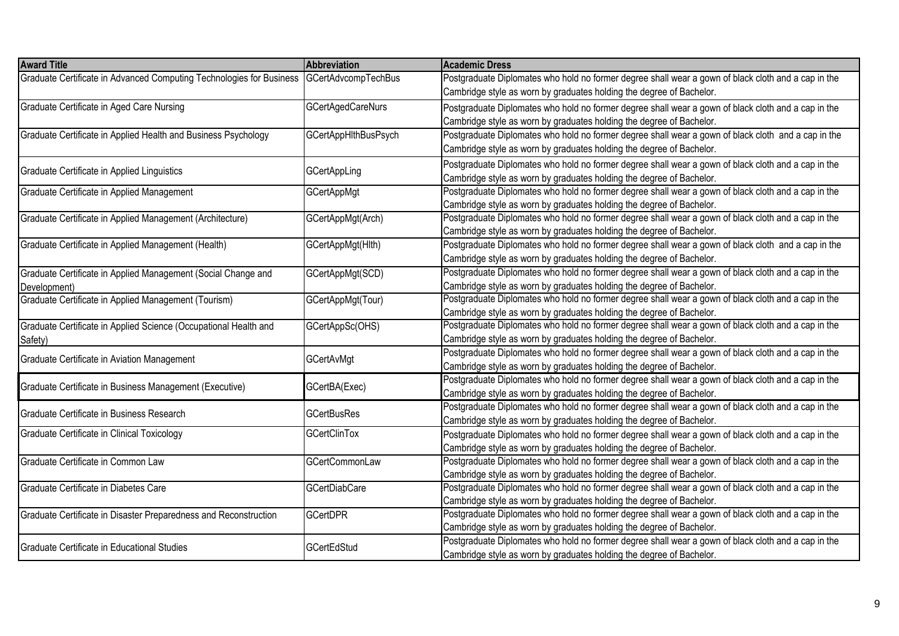| <b>Award Title</b>                                                                       | Abbreviation                | <b>Academic Dress</b>                                                                               |
|------------------------------------------------------------------------------------------|-----------------------------|-----------------------------------------------------------------------------------------------------|
| Graduate Certificate in Advanced Computing Technologies for Business GCertAdvcompTechBus |                             | Postgraduate Diplomates who hold no former degree shall wear a gown of black cloth and a cap in the |
|                                                                                          |                             | Cambridge style as worn by graduates holding the degree of Bachelor.                                |
| Graduate Certificate in Aged Care Nursing                                                | <b>GCertAgedCareNurs</b>    | Postgraduate Diplomates who hold no former degree shall wear a gown of black cloth and a cap in the |
|                                                                                          |                             | Cambridge style as worn by graduates holding the degree of Bachelor.                                |
| Graduate Certificate in Applied Health and Business Psychology                           | <b>GCertAppHIthBusPsych</b> | Postgraduate Diplomates who hold no former degree shall wear a gown of black cloth and a cap in the |
|                                                                                          |                             | Cambridge style as worn by graduates holding the degree of Bachelor.                                |
|                                                                                          |                             | Postgraduate Diplomates who hold no former degree shall wear a gown of black cloth and a cap in the |
| Graduate Certificate in Applied Linguistics                                              | <b>GCertAppLing</b>         | Cambridge style as worn by graduates holding the degree of Bachelor.                                |
| Graduate Certificate in Applied Management                                               | <b>GCertAppMgt</b>          | Postgraduate Diplomates who hold no former degree shall wear a gown of black cloth and a cap in the |
|                                                                                          |                             | Cambridge style as worn by graduates holding the degree of Bachelor.                                |
| Graduate Certificate in Applied Management (Architecture)                                | GCertAppMgt(Arch)           | Postgraduate Diplomates who hold no former degree shall wear a gown of black cloth and a cap in the |
|                                                                                          |                             | Cambridge style as worn by graduates holding the degree of Bachelor.                                |
| Graduate Certificate in Applied Management (Health)                                      | GCertAppMgt(Hlth)           | Postgraduate Diplomates who hold no former degree shall wear a gown of black cloth and a cap in the |
|                                                                                          |                             | Cambridge style as worn by graduates holding the degree of Bachelor.                                |
| Graduate Certificate in Applied Management (Social Change and                            | GCertAppMgt(SCD)            | Postgraduate Diplomates who hold no former degree shall wear a gown of black cloth and a cap in the |
| Development)                                                                             |                             | Cambridge style as worn by graduates holding the degree of Bachelor.                                |
| Graduate Certificate in Applied Management (Tourism)                                     | GCertAppMgt(Tour)           | Postgraduate Diplomates who hold no former degree shall wear a gown of black cloth and a cap in the |
|                                                                                          |                             | Cambridge style as worn by graduates holding the degree of Bachelor.                                |
| Graduate Certificate in Applied Science (Occupational Health and                         | GCertAppSc(OHS)             | Postgraduate Diplomates who hold no former degree shall wear a gown of black cloth and a cap in the |
| Safety)                                                                                  |                             | Cambridge style as worn by graduates holding the degree of Bachelor.                                |
| Graduate Certificate in Aviation Management                                              | GCertAvMgt                  | Postgraduate Diplomates who hold no former degree shall wear a gown of black cloth and a cap in the |
|                                                                                          |                             | Cambridge style as worn by graduates holding the degree of Bachelor.                                |
| Graduate Certificate in Business Management (Executive)                                  | GCertBA(Exec)               | Postgraduate Diplomates who hold no former degree shall wear a gown of black cloth and a cap in the |
|                                                                                          |                             | Cambridge style as worn by graduates holding the degree of Bachelor.                                |
| Graduate Certificate in Business Research                                                | <b>GCertBusRes</b>          | Postgraduate Diplomates who hold no former degree shall wear a gown of black cloth and a cap in the |
|                                                                                          |                             | Cambridge style as worn by graduates holding the degree of Bachelor.                                |
| Graduate Certificate in Clinical Toxicology                                              | <b>GCertClinTox</b>         | Postgraduate Diplomates who hold no former degree shall wear a gown of black cloth and a cap in the |
|                                                                                          |                             | Cambridge style as worn by graduates holding the degree of Bachelor.                                |
| Graduate Certificate in Common Law                                                       | <b>GCertCommonLaw</b>       | Postgraduate Diplomates who hold no former degree shall wear a gown of black cloth and a cap in the |
|                                                                                          |                             | Cambridge style as worn by graduates holding the degree of Bachelor.                                |
| Graduate Certificate in Diabetes Care                                                    | <b>GCertDiabCare</b>        | Postgraduate Diplomates who hold no former degree shall wear a gown of black cloth and a cap in the |
|                                                                                          |                             | Cambridge style as worn by graduates holding the degree of Bachelor.                                |
| Graduate Certificate in Disaster Preparedness and Reconstruction                         | <b>GCertDPR</b>             | Postgraduate Diplomates who hold no former degree shall wear a gown of black cloth and a cap in the |
|                                                                                          |                             | Cambridge style as worn by graduates holding the degree of Bachelor.                                |
| Graduate Certificate in Educational Studies                                              | <b>GCertEdStud</b>          | Postgraduate Diplomates who hold no former degree shall wear a gown of black cloth and a cap in the |
|                                                                                          |                             | Cambridge style as worn by graduates holding the degree of Bachelor.                                |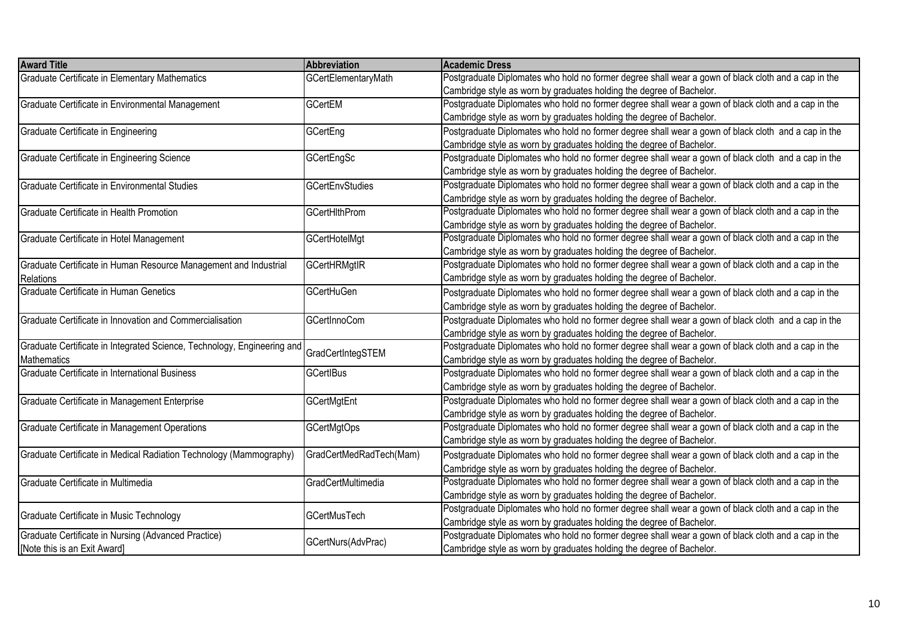| <b>Award Title</b>                                                      | Abbreviation            | Academic Dress                                                                                      |
|-------------------------------------------------------------------------|-------------------------|-----------------------------------------------------------------------------------------------------|
| Graduate Certificate in Elementary Mathematics                          | GCertElementaryMath     | Postgraduate Diplomates who hold no former degree shall wear a gown of black cloth and a cap in the |
|                                                                         |                         | Cambridge style as worn by graduates holding the degree of Bachelor.                                |
| Graduate Certificate in Environmental Management                        | <b>GCertEM</b>          | Postgraduate Diplomates who hold no former degree shall wear a gown of black cloth and a cap in the |
|                                                                         |                         | Cambridge style as worn by graduates holding the degree of Bachelor.                                |
| Graduate Certificate in Engineering                                     | GCertEng                | Postgraduate Diplomates who hold no former degree shall wear a gown of black cloth and a cap in the |
|                                                                         |                         | Cambridge style as worn by graduates holding the degree of Bachelor.                                |
| Graduate Certificate in Engineering Science                             | GCertEngSc              | Postgraduate Diplomates who hold no former degree shall wear a gown of black cloth and a cap in the |
|                                                                         |                         | Cambridge style as worn by graduates holding the degree of Bachelor.                                |
| Graduate Certificate in Environmental Studies                           | <b>GCertEnvStudies</b>  | Postgraduate Diplomates who hold no former degree shall wear a gown of black cloth and a cap in the |
|                                                                         |                         | Cambridge style as worn by graduates holding the degree of Bachelor.                                |
| Graduate Certificate in Health Promotion                                | <b>GCertHithProm</b>    | Postgraduate Diplomates who hold no former degree shall wear a gown of black cloth and a cap in the |
|                                                                         |                         | Cambridge style as worn by graduates holding the degree of Bachelor.                                |
| Graduate Certificate in Hotel Management                                | GCertHotelMgt           | Postgraduate Diplomates who hold no former degree shall wear a gown of black cloth and a cap in the |
|                                                                         |                         | Cambridge style as worn by graduates holding the degree of Bachelor.                                |
| Graduate Certificate in Human Resource Management and Industrial        | GCertHRMgtIR            | Postgraduate Diplomates who hold no former degree shall wear a gown of black cloth and a cap in the |
| Relations                                                               |                         | Cambridge style as worn by graduates holding the degree of Bachelor.                                |
| Graduate Certificate in Human Genetics                                  | <b>GCertHuGen</b>       | Postgraduate Diplomates who hold no former degree shall wear a gown of black cloth and a cap in the |
|                                                                         |                         | Cambridge style as worn by graduates holding the degree of Bachelor.                                |
| Graduate Certificate in Innovation and Commercialisation                | <b>GCertInnoCom</b>     | Postgraduate Diplomates who hold no former degree shall wear a gown of black cloth and a cap in the |
|                                                                         |                         | Cambridge style as worn by graduates holding the degree of Bachelor.                                |
| Graduate Certificate in Integrated Science, Technology, Engineering and |                         | Postgraduate Diplomates who hold no former degree shall wear a gown of black cloth and a cap in the |
| Mathematics                                                             | GradCertIntegSTEM       | Cambridge style as worn by graduates holding the degree of Bachelor.                                |
| Graduate Certificate in International Business                          | <b>GCertIBus</b>        | Postgraduate Diplomates who hold no former degree shall wear a gown of black cloth and a cap in the |
|                                                                         |                         | Cambridge style as worn by graduates holding the degree of Bachelor.                                |
| Graduate Certificate in Management Enterprise                           | GCertMgtEnt             | Postgraduate Diplomates who hold no former degree shall wear a gown of black cloth and a cap in the |
|                                                                         |                         | Cambridge style as worn by graduates holding the degree of Bachelor.                                |
| Graduate Certificate in Management Operations                           | <b>GCertMgtOps</b>      | Postgraduate Diplomates who hold no former degree shall wear a gown of black cloth and a cap in the |
|                                                                         |                         | Cambridge style as worn by graduates holding the degree of Bachelor.                                |
| Graduate Certificate in Medical Radiation Technology (Mammography)      | GradCertMedRadTech(Mam) | Postgraduate Diplomates who hold no former degree shall wear a gown of black cloth and a cap in the |
|                                                                         |                         | Cambridge style as worn by graduates holding the degree of Bachelor.                                |
| Graduate Certificate in Multimedia                                      | GradCertMultimedia      | Postgraduate Diplomates who hold no former degree shall wear a gown of black cloth and a cap in the |
|                                                                         |                         | Cambridge style as worn by graduates holding the degree of Bachelor.                                |
|                                                                         |                         | Postgraduate Diplomates who hold no former degree shall wear a gown of black cloth and a cap in the |
| Graduate Certificate in Music Technology                                | GCertMusTech            | Cambridge style as worn by graduates holding the degree of Bachelor.                                |
| Graduate Certificate in Nursing (Advanced Practice)                     |                         | Postgraduate Diplomates who hold no former degree shall wear a gown of black cloth and a cap in the |
| [Note this is an Exit Award]                                            | GCertNurs(AdvPrac)      | Cambridge style as worn by graduates holding the degree of Bachelor.                                |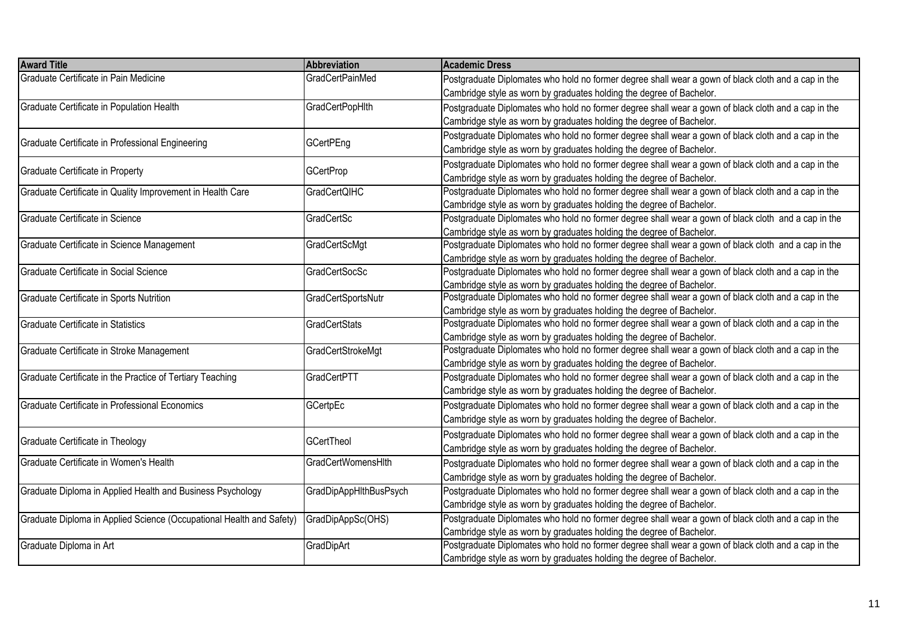| <b>Award Title</b>                                                   | Abbreviation           | <b>Academic Dress</b>                                                                               |
|----------------------------------------------------------------------|------------------------|-----------------------------------------------------------------------------------------------------|
| Graduate Certificate in Pain Medicine                                | <b>GradCertPainMed</b> | Postgraduate Diplomates who hold no former degree shall wear a gown of black cloth and a cap in the |
|                                                                      |                        | Cambridge style as worn by graduates holding the degree of Bachelor.                                |
| Graduate Certificate in Population Health                            | <b>GradCertPopHIth</b> | Postgraduate Diplomates who hold no former degree shall wear a gown of black cloth and a cap in the |
|                                                                      |                        | Cambridge style as worn by graduates holding the degree of Bachelor.                                |
|                                                                      |                        | Postgraduate Diplomates who hold no former degree shall wear a gown of black cloth and a cap in the |
| Graduate Certificate in Professional Engineering                     | <b>GCertPEng</b>       | Cambridge style as worn by graduates holding the degree of Bachelor.                                |
|                                                                      |                        | Postgraduate Diplomates who hold no former degree shall wear a gown of black cloth and a cap in the |
| Graduate Certificate in Property                                     | <b>GCertProp</b>       | Cambridge style as worn by graduates holding the degree of Bachelor.                                |
| Graduate Certificate in Quality Improvement in Health Care           | <b>GradCertQIHC</b>    | Postgraduate Diplomates who hold no former degree shall wear a gown of black cloth and a cap in the |
|                                                                      |                        | Cambridge style as worn by graduates holding the degree of Bachelor.                                |
| Graduate Certificate in Science                                      | GradCertSc             | Postgraduate Diplomates who hold no former degree shall wear a gown of black cloth and a cap in the |
|                                                                      |                        | Cambridge style as worn by graduates holding the degree of Bachelor.                                |
| Graduate Certificate in Science Management                           | GradCertScMgt          | Postgraduate Diplomates who hold no former degree shall wear a gown of black cloth and a cap in the |
|                                                                      |                        | Cambridge style as worn by graduates holding the degree of Bachelor.                                |
| Graduate Certificate in Social Science                               | <b>GradCertSocSc</b>   | Postgraduate Diplomates who hold no former degree shall wear a gown of black cloth and a cap in the |
|                                                                      |                        | Cambridge style as worn by graduates holding the degree of Bachelor.                                |
| Graduate Certificate in Sports Nutrition                             | GradCertSportsNutr     | Postgraduate Diplomates who hold no former degree shall wear a gown of black cloth and a cap in the |
|                                                                      |                        | Cambridge style as worn by graduates holding the degree of Bachelor.                                |
| Graduate Certificate in Statistics                                   | <b>GradCertStats</b>   | Postgraduate Diplomates who hold no former degree shall wear a gown of black cloth and a cap in the |
|                                                                      |                        | Cambridge style as worn by graduates holding the degree of Bachelor.                                |
| Graduate Certificate in Stroke Management                            | GradCertStrokeMgt      | Postgraduate Diplomates who hold no former degree shall wear a gown of black cloth and a cap in the |
|                                                                      |                        | Cambridge style as worn by graduates holding the degree of Bachelor.                                |
| Graduate Certificate in the Practice of Tertiary Teaching            | GradCertPTT            | Postgraduate Diplomates who hold no former degree shall wear a gown of black cloth and a cap in the |
|                                                                      |                        | Cambridge style as worn by graduates holding the degree of Bachelor.                                |
| Graduate Certificate in Professional Economics                       | <b>GCertpEc</b>        | Postgraduate Diplomates who hold no former degree shall wear a gown of black cloth and a cap in the |
|                                                                      |                        | Cambridge style as worn by graduates holding the degree of Bachelor.                                |
|                                                                      | <b>GCertTheol</b>      | Postgraduate Diplomates who hold no former degree shall wear a gown of black cloth and a cap in the |
| Graduate Certificate in Theology                                     |                        | Cambridge style as worn by graduates holding the degree of Bachelor.                                |
| Graduate Certificate in Women's Health                               | GradCertWomensHlth     | Postgraduate Diplomates who hold no former degree shall wear a gown of black cloth and a cap in the |
|                                                                      |                        | Cambridge style as worn by graduates holding the degree of Bachelor.                                |
| Graduate Diploma in Applied Health and Business Psychology           | GradDipAppHlthBusPsych | Postgraduate Diplomates who hold no former degree shall wear a gown of black cloth and a cap in the |
|                                                                      |                        | Cambridge style as worn by graduates holding the degree of Bachelor.                                |
| Graduate Diploma in Applied Science (Occupational Health and Safety) | GradDipAppSc(OHS)      | Postgraduate Diplomates who hold no former degree shall wear a gown of black cloth and a cap in the |
|                                                                      |                        | Cambridge style as worn by graduates holding the degree of Bachelor.                                |
| Graduate Diploma in Art                                              | GradDipArt             | Postgraduate Diplomates who hold no former degree shall wear a gown of black cloth and a cap in the |
|                                                                      |                        | Cambridge style as worn by graduates holding the degree of Bachelor.                                |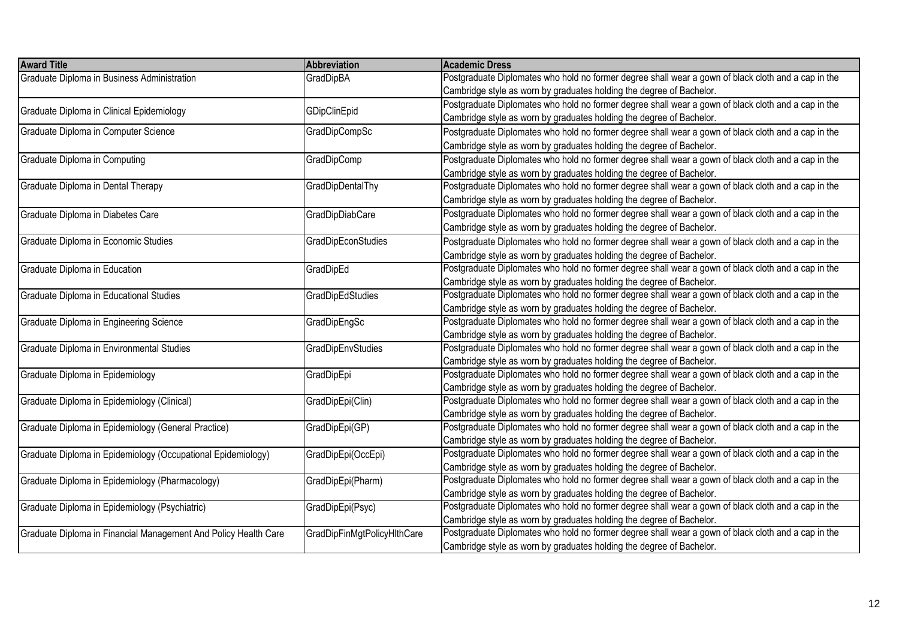| <b>Award Title</b>                                              | <b>Abbreviation</b>         | <b>Academic Dress</b>                                                                               |
|-----------------------------------------------------------------|-----------------------------|-----------------------------------------------------------------------------------------------------|
| Graduate Diploma in Business Administration                     | GradDipBA                   | Postgraduate Diplomates who hold no former degree shall wear a gown of black cloth and a cap in the |
|                                                                 |                             | Cambridge style as worn by graduates holding the degree of Bachelor.                                |
|                                                                 |                             | Postgraduate Diplomates who hold no former degree shall wear a gown of black cloth and a cap in the |
| Graduate Diploma in Clinical Epidemiology                       | GDipClinEpid                | Cambridge style as worn by graduates holding the degree of Bachelor.                                |
| Graduate Diploma in Computer Science                            | GradDipCompSc               | Postgraduate Diplomates who hold no former degree shall wear a gown of black cloth and a cap in the |
|                                                                 |                             | Cambridge style as worn by graduates holding the degree of Bachelor.                                |
| Graduate Diploma in Computing                                   | GradDipComp                 | Postgraduate Diplomates who hold no former degree shall wear a gown of black cloth and a cap in the |
|                                                                 |                             | Cambridge style as worn by graduates holding the degree of Bachelor.                                |
| Graduate Diploma in Dental Therapy                              | GradDipDentalThy            | Postgraduate Diplomates who hold no former degree shall wear a gown of black cloth and a cap in the |
|                                                                 |                             | Cambridge style as worn by graduates holding the degree of Bachelor.                                |
| Graduate Diploma in Diabetes Care                               | GradDipDiabCare             | Postgraduate Diplomates who hold no former degree shall wear a gown of black cloth and a cap in the |
|                                                                 |                             | Cambridge style as worn by graduates holding the degree of Bachelor.                                |
| Graduate Diploma in Economic Studies                            | GradDipEconStudies          | Postgraduate Diplomates who hold no former degree shall wear a gown of black cloth and a cap in the |
|                                                                 |                             | Cambridge style as worn by graduates holding the degree of Bachelor.                                |
| Graduate Diploma in Education                                   | GradDipEd                   | Postgraduate Diplomates who hold no former degree shall wear a gown of black cloth and a cap in the |
|                                                                 |                             | Cambridge style as worn by graduates holding the degree of Bachelor.                                |
| Graduate Diploma in Educational Studies                         | GradDipEdStudies            | Postgraduate Diplomates who hold no former degree shall wear a gown of black cloth and a cap in the |
|                                                                 |                             | Cambridge style as worn by graduates holding the degree of Bachelor.                                |
| Graduate Diploma in Engineering Science                         | GradDipEngSc                | Postgraduate Diplomates who hold no former degree shall wear a gown of black cloth and a cap in the |
|                                                                 |                             | Cambridge style as worn by graduates holding the degree of Bachelor.                                |
| Graduate Diploma in Environmental Studies                       | GradDipEnvStudies           | Postgraduate Diplomates who hold no former degree shall wear a gown of black cloth and a cap in the |
|                                                                 |                             | Cambridge style as worn by graduates holding the degree of Bachelor.                                |
| Graduate Diploma in Epidemiology                                | GradDipEpi                  | Postgraduate Diplomates who hold no former degree shall wear a gown of black cloth and a cap in the |
|                                                                 |                             | Cambridge style as worn by graduates holding the degree of Bachelor.                                |
| Graduate Diploma in Epidemiology (Clinical)                     | GradDipEpi(Clin)            | Postgraduate Diplomates who hold no former degree shall wear a gown of black cloth and a cap in the |
|                                                                 |                             | Cambridge style as worn by graduates holding the degree of Bachelor.                                |
| Graduate Diploma in Epidemiology (General Practice)             | GradDipEpi(GP)              | Postgraduate Diplomates who hold no former degree shall wear a gown of black cloth and a cap in the |
|                                                                 |                             | Cambridge style as worn by graduates holding the degree of Bachelor.                                |
| Graduate Diploma in Epidemiology (Occupational Epidemiology)    | GradDipEpi(OccEpi)          | Postgraduate Diplomates who hold no former degree shall wear a gown of black cloth and a cap in the |
|                                                                 |                             | Cambridge style as worn by graduates holding the degree of Bachelor.                                |
| Graduate Diploma in Epidemiology (Pharmacology)                 | GradDipEpi(Pharm)           | Postgraduate Diplomates who hold no former degree shall wear a gown of black cloth and a cap in the |
|                                                                 |                             | Cambridge style as worn by graduates holding the degree of Bachelor.                                |
| Graduate Diploma in Epidemiology (Psychiatric)                  | GradDipEpi(Psyc)            | Postgraduate Diplomates who hold no former degree shall wear a gown of black cloth and a cap in the |
|                                                                 |                             | Cambridge style as worn by graduates holding the degree of Bachelor.                                |
| Graduate Diploma in Financial Management And Policy Health Care | GradDipFinMgtPolicyHlthCare | Postgraduate Diplomates who hold no former degree shall wear a gown of black cloth and a cap in the |
|                                                                 |                             | Cambridge style as worn by graduates holding the degree of Bachelor.                                |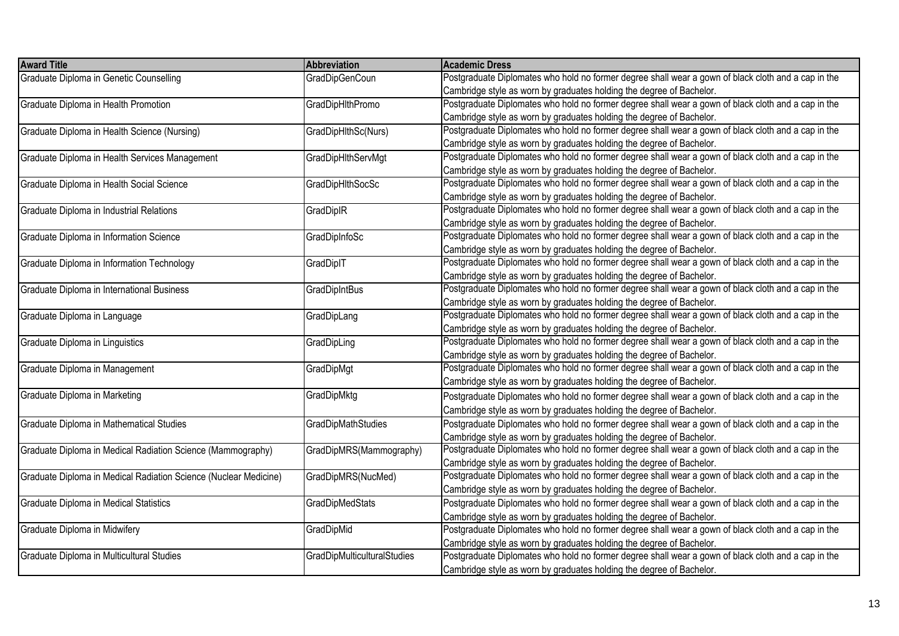| Postgraduate Diplomates who hold no former degree shall wear a gown of black cloth and a cap in the<br>Graduate Diploma in Genetic Counselling<br><b>GradDipGenCoun</b><br>Cambridge style as worn by graduates holding the degree of Bachelor.<br>Postgraduate Diplomates who hold no former degree shall wear a gown of black cloth and a cap in the<br><b>GradDipHIthPromo</b><br>Graduate Diploma in Health Promotion<br>Cambridge style as worn by graduates holding the degree of Bachelor.<br>Postgraduate Diplomates who hold no former degree shall wear a gown of black cloth and a cap in the<br>Graduate Diploma in Health Science (Nursing)<br>GradDipHlthSc(Nurs)<br>Cambridge style as worn by graduates holding the degree of Bachelor.<br>Postgraduate Diplomates who hold no former degree shall wear a gown of black cloth and a cap in the<br><b>GradDipHlthServMgt</b><br>Graduate Diploma in Health Services Management<br>Cambridge style as worn by graduates holding the degree of Bachelor.<br>Postgraduate Diplomates who hold no former degree shall wear a gown of black cloth and a cap in the<br><b>GradDipHlthSocSc</b><br>Graduate Diploma in Health Social Science<br>Cambridge style as worn by graduates holding the degree of Bachelor.<br>Postgraduate Diplomates who hold no former degree shall wear a gown of black cloth and a cap in the<br>GradDiplR<br>Graduate Diploma in Industrial Relations<br>Cambridge style as worn by graduates holding the degree of Bachelor.<br>Postgraduate Diplomates who hold no former degree shall wear a gown of black cloth and a cap in the<br>GradDipInfoSc<br>Graduate Diploma in Information Science<br>Cambridge style as worn by graduates holding the degree of Bachelor.<br>Postgraduate Diplomates who hold no former degree shall wear a gown of black cloth and a cap in the<br>GradDiplT<br>Graduate Diploma in Information Technology<br>Cambridge style as worn by graduates holding the degree of Bachelor.<br>Postgraduate Diplomates who hold no former degree shall wear a gown of black cloth and a cap in the<br>Graduate Diploma in International Business<br><b>GradDipIntBus</b><br>Cambridge style as worn by graduates holding the degree of Bachelor.<br>Postgraduate Diplomates who hold no former degree shall wear a gown of black cloth and a cap in the<br>Graduate Diploma in Language<br>GradDipLang<br>Cambridge style as worn by graduates holding the degree of Bachelor.<br>Postgraduate Diplomates who hold no former degree shall wear a gown of black cloth and a cap in the<br>GradDipLing<br>Graduate Diploma in Linguistics<br>Cambridge style as worn by graduates holding the degree of Bachelor.<br>Postgraduate Diplomates who hold no former degree shall wear a gown of black cloth and a cap in the<br>Graduate Diploma in Management<br>GradDipMgt<br>Cambridge style as worn by graduates holding the degree of Bachelor.<br>Graduate Diploma in Marketing<br>GradDipMktg<br>Postgraduate Diplomates who hold no former degree shall wear a gown of black cloth and a cap in the<br>Cambridge style as worn by graduates holding the degree of Bachelor.<br>Postgraduate Diplomates who hold no former degree shall wear a gown of black cloth and a cap in the<br>Graduate Diploma in Mathematical Studies<br>GradDipMathStudies<br>Cambridge style as worn by graduates holding the degree of Bachelor.<br>Postgraduate Diplomates who hold no former degree shall wear a gown of black cloth and a cap in the<br>Graduate Diploma in Medical Radiation Science (Mammography)<br>GradDipMRS(Mammography)<br>Cambridge style as worn by graduates holding the degree of Bachelor.<br>Postgraduate Diplomates who hold no former degree shall wear a gown of black cloth and a cap in the<br>GradDipMRS(NucMed)<br>Graduate Diploma in Medical Radiation Science (Nuclear Medicine)<br>Cambridge style as worn by graduates holding the degree of Bachelor.<br>GradDipMedStats<br>Postgraduate Diplomates who hold no former degree shall wear a gown of black cloth and a cap in the<br>Graduate Diploma in Medical Statistics<br>Cambridge style as worn by graduates holding the degree of Bachelor.<br>GradDipMid<br>Postgraduate Diplomates who hold no former degree shall wear a gown of black cloth and a cap in the<br>Graduate Diploma in Midwifery<br>Cambridge style as worn by graduates holding the degree of Bachelor.<br>Graduate Diploma in Multicultural Studies<br><b>GradDipMulticulturalStudies</b><br>Postgraduate Diplomates who hold no former degree shall wear a gown of black cloth and a cap in the | <b>Award Title</b> | <b>Abbreviation</b> | Academic Dress                                                       |
|--------------------------------------------------------------------------------------------------------------------------------------------------------------------------------------------------------------------------------------------------------------------------------------------------------------------------------------------------------------------------------------------------------------------------------------------------------------------------------------------------------------------------------------------------------------------------------------------------------------------------------------------------------------------------------------------------------------------------------------------------------------------------------------------------------------------------------------------------------------------------------------------------------------------------------------------------------------------------------------------------------------------------------------------------------------------------------------------------------------------------------------------------------------------------------------------------------------------------------------------------------------------------------------------------------------------------------------------------------------------------------------------------------------------------------------------------------------------------------------------------------------------------------------------------------------------------------------------------------------------------------------------------------------------------------------------------------------------------------------------------------------------------------------------------------------------------------------------------------------------------------------------------------------------------------------------------------------------------------------------------------------------------------------------------------------------------------------------------------------------------------------------------------------------------------------------------------------------------------------------------------------------------------------------------------------------------------------------------------------------------------------------------------------------------------------------------------------------------------------------------------------------------------------------------------------------------------------------------------------------------------------------------------------------------------------------------------------------------------------------------------------------------------------------------------------------------------------------------------------------------------------------------------------------------------------------------------------------------------------------------------------------------------------------------------------------------------------------------------------------------------------------------------------------------------------------------------------------------------------------------------------------------------------------------------------------------------------------------------------------------------------------------------------------------------------------------------------------------------------------------------------------------------------------------------------------------------------------------------------------------------------------------------------------------------------------------------------------------------------------------------------------------------------------------------------------------------------------------------------------------------------------------------------------------------------------------------------------------------------------------------------------------------------------------------------------------------------------------------------------------------------------------------------------------------------------------------------------------------------------------------------------------------------------------------------------------------------------------------------------------------------------------------------------------------------------------------------------------------------------------------------------------------------------------------------------------------------------------------------------------------------------------------------------|--------------------|---------------------|----------------------------------------------------------------------|
|                                                                                                                                                                                                                                                                                                                                                                                                                                                                                                                                                                                                                                                                                                                                                                                                                                                                                                                                                                                                                                                                                                                                                                                                                                                                                                                                                                                                                                                                                                                                                                                                                                                                                                                                                                                                                                                                                                                                                                                                                                                                                                                                                                                                                                                                                                                                                                                                                                                                                                                                                                                                                                                                                                                                                                                                                                                                                                                                                                                                                                                                                                                                                                                                                                                                                                                                                                                                                                                                                                                                                                                                                                                                                                                                                                                                                                                                                                                                                                                                                                                                                                                                                                                                                                                                                                                                                                                                                                                                                                                                                                                                                                                                    |                    |                     |                                                                      |
|                                                                                                                                                                                                                                                                                                                                                                                                                                                                                                                                                                                                                                                                                                                                                                                                                                                                                                                                                                                                                                                                                                                                                                                                                                                                                                                                                                                                                                                                                                                                                                                                                                                                                                                                                                                                                                                                                                                                                                                                                                                                                                                                                                                                                                                                                                                                                                                                                                                                                                                                                                                                                                                                                                                                                                                                                                                                                                                                                                                                                                                                                                                                                                                                                                                                                                                                                                                                                                                                                                                                                                                                                                                                                                                                                                                                                                                                                                                                                                                                                                                                                                                                                                                                                                                                                                                                                                                                                                                                                                                                                                                                                                                                    |                    |                     |                                                                      |
|                                                                                                                                                                                                                                                                                                                                                                                                                                                                                                                                                                                                                                                                                                                                                                                                                                                                                                                                                                                                                                                                                                                                                                                                                                                                                                                                                                                                                                                                                                                                                                                                                                                                                                                                                                                                                                                                                                                                                                                                                                                                                                                                                                                                                                                                                                                                                                                                                                                                                                                                                                                                                                                                                                                                                                                                                                                                                                                                                                                                                                                                                                                                                                                                                                                                                                                                                                                                                                                                                                                                                                                                                                                                                                                                                                                                                                                                                                                                                                                                                                                                                                                                                                                                                                                                                                                                                                                                                                                                                                                                                                                                                                                                    |                    |                     |                                                                      |
|                                                                                                                                                                                                                                                                                                                                                                                                                                                                                                                                                                                                                                                                                                                                                                                                                                                                                                                                                                                                                                                                                                                                                                                                                                                                                                                                                                                                                                                                                                                                                                                                                                                                                                                                                                                                                                                                                                                                                                                                                                                                                                                                                                                                                                                                                                                                                                                                                                                                                                                                                                                                                                                                                                                                                                                                                                                                                                                                                                                                                                                                                                                                                                                                                                                                                                                                                                                                                                                                                                                                                                                                                                                                                                                                                                                                                                                                                                                                                                                                                                                                                                                                                                                                                                                                                                                                                                                                                                                                                                                                                                                                                                                                    |                    |                     |                                                                      |
|                                                                                                                                                                                                                                                                                                                                                                                                                                                                                                                                                                                                                                                                                                                                                                                                                                                                                                                                                                                                                                                                                                                                                                                                                                                                                                                                                                                                                                                                                                                                                                                                                                                                                                                                                                                                                                                                                                                                                                                                                                                                                                                                                                                                                                                                                                                                                                                                                                                                                                                                                                                                                                                                                                                                                                                                                                                                                                                                                                                                                                                                                                                                                                                                                                                                                                                                                                                                                                                                                                                                                                                                                                                                                                                                                                                                                                                                                                                                                                                                                                                                                                                                                                                                                                                                                                                                                                                                                                                                                                                                                                                                                                                                    |                    |                     |                                                                      |
|                                                                                                                                                                                                                                                                                                                                                                                                                                                                                                                                                                                                                                                                                                                                                                                                                                                                                                                                                                                                                                                                                                                                                                                                                                                                                                                                                                                                                                                                                                                                                                                                                                                                                                                                                                                                                                                                                                                                                                                                                                                                                                                                                                                                                                                                                                                                                                                                                                                                                                                                                                                                                                                                                                                                                                                                                                                                                                                                                                                                                                                                                                                                                                                                                                                                                                                                                                                                                                                                                                                                                                                                                                                                                                                                                                                                                                                                                                                                                                                                                                                                                                                                                                                                                                                                                                                                                                                                                                                                                                                                                                                                                                                                    |                    |                     |                                                                      |
|                                                                                                                                                                                                                                                                                                                                                                                                                                                                                                                                                                                                                                                                                                                                                                                                                                                                                                                                                                                                                                                                                                                                                                                                                                                                                                                                                                                                                                                                                                                                                                                                                                                                                                                                                                                                                                                                                                                                                                                                                                                                                                                                                                                                                                                                                                                                                                                                                                                                                                                                                                                                                                                                                                                                                                                                                                                                                                                                                                                                                                                                                                                                                                                                                                                                                                                                                                                                                                                                                                                                                                                                                                                                                                                                                                                                                                                                                                                                                                                                                                                                                                                                                                                                                                                                                                                                                                                                                                                                                                                                                                                                                                                                    |                    |                     |                                                                      |
|                                                                                                                                                                                                                                                                                                                                                                                                                                                                                                                                                                                                                                                                                                                                                                                                                                                                                                                                                                                                                                                                                                                                                                                                                                                                                                                                                                                                                                                                                                                                                                                                                                                                                                                                                                                                                                                                                                                                                                                                                                                                                                                                                                                                                                                                                                                                                                                                                                                                                                                                                                                                                                                                                                                                                                                                                                                                                                                                                                                                                                                                                                                                                                                                                                                                                                                                                                                                                                                                                                                                                                                                                                                                                                                                                                                                                                                                                                                                                                                                                                                                                                                                                                                                                                                                                                                                                                                                                                                                                                                                                                                                                                                                    |                    |                     |                                                                      |
|                                                                                                                                                                                                                                                                                                                                                                                                                                                                                                                                                                                                                                                                                                                                                                                                                                                                                                                                                                                                                                                                                                                                                                                                                                                                                                                                                                                                                                                                                                                                                                                                                                                                                                                                                                                                                                                                                                                                                                                                                                                                                                                                                                                                                                                                                                                                                                                                                                                                                                                                                                                                                                                                                                                                                                                                                                                                                                                                                                                                                                                                                                                                                                                                                                                                                                                                                                                                                                                                                                                                                                                                                                                                                                                                                                                                                                                                                                                                                                                                                                                                                                                                                                                                                                                                                                                                                                                                                                                                                                                                                                                                                                                                    |                    |                     |                                                                      |
|                                                                                                                                                                                                                                                                                                                                                                                                                                                                                                                                                                                                                                                                                                                                                                                                                                                                                                                                                                                                                                                                                                                                                                                                                                                                                                                                                                                                                                                                                                                                                                                                                                                                                                                                                                                                                                                                                                                                                                                                                                                                                                                                                                                                                                                                                                                                                                                                                                                                                                                                                                                                                                                                                                                                                                                                                                                                                                                                                                                                                                                                                                                                                                                                                                                                                                                                                                                                                                                                                                                                                                                                                                                                                                                                                                                                                                                                                                                                                                                                                                                                                                                                                                                                                                                                                                                                                                                                                                                                                                                                                                                                                                                                    |                    |                     |                                                                      |
|                                                                                                                                                                                                                                                                                                                                                                                                                                                                                                                                                                                                                                                                                                                                                                                                                                                                                                                                                                                                                                                                                                                                                                                                                                                                                                                                                                                                                                                                                                                                                                                                                                                                                                                                                                                                                                                                                                                                                                                                                                                                                                                                                                                                                                                                                                                                                                                                                                                                                                                                                                                                                                                                                                                                                                                                                                                                                                                                                                                                                                                                                                                                                                                                                                                                                                                                                                                                                                                                                                                                                                                                                                                                                                                                                                                                                                                                                                                                                                                                                                                                                                                                                                                                                                                                                                                                                                                                                                                                                                                                                                                                                                                                    |                    |                     |                                                                      |
|                                                                                                                                                                                                                                                                                                                                                                                                                                                                                                                                                                                                                                                                                                                                                                                                                                                                                                                                                                                                                                                                                                                                                                                                                                                                                                                                                                                                                                                                                                                                                                                                                                                                                                                                                                                                                                                                                                                                                                                                                                                                                                                                                                                                                                                                                                                                                                                                                                                                                                                                                                                                                                                                                                                                                                                                                                                                                                                                                                                                                                                                                                                                                                                                                                                                                                                                                                                                                                                                                                                                                                                                                                                                                                                                                                                                                                                                                                                                                                                                                                                                                                                                                                                                                                                                                                                                                                                                                                                                                                                                                                                                                                                                    |                    |                     |                                                                      |
|                                                                                                                                                                                                                                                                                                                                                                                                                                                                                                                                                                                                                                                                                                                                                                                                                                                                                                                                                                                                                                                                                                                                                                                                                                                                                                                                                                                                                                                                                                                                                                                                                                                                                                                                                                                                                                                                                                                                                                                                                                                                                                                                                                                                                                                                                                                                                                                                                                                                                                                                                                                                                                                                                                                                                                                                                                                                                                                                                                                                                                                                                                                                                                                                                                                                                                                                                                                                                                                                                                                                                                                                                                                                                                                                                                                                                                                                                                                                                                                                                                                                                                                                                                                                                                                                                                                                                                                                                                                                                                                                                                                                                                                                    |                    |                     |                                                                      |
|                                                                                                                                                                                                                                                                                                                                                                                                                                                                                                                                                                                                                                                                                                                                                                                                                                                                                                                                                                                                                                                                                                                                                                                                                                                                                                                                                                                                                                                                                                                                                                                                                                                                                                                                                                                                                                                                                                                                                                                                                                                                                                                                                                                                                                                                                                                                                                                                                                                                                                                                                                                                                                                                                                                                                                                                                                                                                                                                                                                                                                                                                                                                                                                                                                                                                                                                                                                                                                                                                                                                                                                                                                                                                                                                                                                                                                                                                                                                                                                                                                                                                                                                                                                                                                                                                                                                                                                                                                                                                                                                                                                                                                                                    |                    |                     |                                                                      |
|                                                                                                                                                                                                                                                                                                                                                                                                                                                                                                                                                                                                                                                                                                                                                                                                                                                                                                                                                                                                                                                                                                                                                                                                                                                                                                                                                                                                                                                                                                                                                                                                                                                                                                                                                                                                                                                                                                                                                                                                                                                                                                                                                                                                                                                                                                                                                                                                                                                                                                                                                                                                                                                                                                                                                                                                                                                                                                                                                                                                                                                                                                                                                                                                                                                                                                                                                                                                                                                                                                                                                                                                                                                                                                                                                                                                                                                                                                                                                                                                                                                                                                                                                                                                                                                                                                                                                                                                                                                                                                                                                                                                                                                                    |                    |                     |                                                                      |
|                                                                                                                                                                                                                                                                                                                                                                                                                                                                                                                                                                                                                                                                                                                                                                                                                                                                                                                                                                                                                                                                                                                                                                                                                                                                                                                                                                                                                                                                                                                                                                                                                                                                                                                                                                                                                                                                                                                                                                                                                                                                                                                                                                                                                                                                                                                                                                                                                                                                                                                                                                                                                                                                                                                                                                                                                                                                                                                                                                                                                                                                                                                                                                                                                                                                                                                                                                                                                                                                                                                                                                                                                                                                                                                                                                                                                                                                                                                                                                                                                                                                                                                                                                                                                                                                                                                                                                                                                                                                                                                                                                                                                                                                    |                    |                     |                                                                      |
|                                                                                                                                                                                                                                                                                                                                                                                                                                                                                                                                                                                                                                                                                                                                                                                                                                                                                                                                                                                                                                                                                                                                                                                                                                                                                                                                                                                                                                                                                                                                                                                                                                                                                                                                                                                                                                                                                                                                                                                                                                                                                                                                                                                                                                                                                                                                                                                                                                                                                                                                                                                                                                                                                                                                                                                                                                                                                                                                                                                                                                                                                                                                                                                                                                                                                                                                                                                                                                                                                                                                                                                                                                                                                                                                                                                                                                                                                                                                                                                                                                                                                                                                                                                                                                                                                                                                                                                                                                                                                                                                                                                                                                                                    |                    |                     |                                                                      |
|                                                                                                                                                                                                                                                                                                                                                                                                                                                                                                                                                                                                                                                                                                                                                                                                                                                                                                                                                                                                                                                                                                                                                                                                                                                                                                                                                                                                                                                                                                                                                                                                                                                                                                                                                                                                                                                                                                                                                                                                                                                                                                                                                                                                                                                                                                                                                                                                                                                                                                                                                                                                                                                                                                                                                                                                                                                                                                                                                                                                                                                                                                                                                                                                                                                                                                                                                                                                                                                                                                                                                                                                                                                                                                                                                                                                                                                                                                                                                                                                                                                                                                                                                                                                                                                                                                                                                                                                                                                                                                                                                                                                                                                                    |                    |                     |                                                                      |
|                                                                                                                                                                                                                                                                                                                                                                                                                                                                                                                                                                                                                                                                                                                                                                                                                                                                                                                                                                                                                                                                                                                                                                                                                                                                                                                                                                                                                                                                                                                                                                                                                                                                                                                                                                                                                                                                                                                                                                                                                                                                                                                                                                                                                                                                                                                                                                                                                                                                                                                                                                                                                                                                                                                                                                                                                                                                                                                                                                                                                                                                                                                                                                                                                                                                                                                                                                                                                                                                                                                                                                                                                                                                                                                                                                                                                                                                                                                                                                                                                                                                                                                                                                                                                                                                                                                                                                                                                                                                                                                                                                                                                                                                    |                    |                     |                                                                      |
|                                                                                                                                                                                                                                                                                                                                                                                                                                                                                                                                                                                                                                                                                                                                                                                                                                                                                                                                                                                                                                                                                                                                                                                                                                                                                                                                                                                                                                                                                                                                                                                                                                                                                                                                                                                                                                                                                                                                                                                                                                                                                                                                                                                                                                                                                                                                                                                                                                                                                                                                                                                                                                                                                                                                                                                                                                                                                                                                                                                                                                                                                                                                                                                                                                                                                                                                                                                                                                                                                                                                                                                                                                                                                                                                                                                                                                                                                                                                                                                                                                                                                                                                                                                                                                                                                                                                                                                                                                                                                                                                                                                                                                                                    |                    |                     |                                                                      |
|                                                                                                                                                                                                                                                                                                                                                                                                                                                                                                                                                                                                                                                                                                                                                                                                                                                                                                                                                                                                                                                                                                                                                                                                                                                                                                                                                                                                                                                                                                                                                                                                                                                                                                                                                                                                                                                                                                                                                                                                                                                                                                                                                                                                                                                                                                                                                                                                                                                                                                                                                                                                                                                                                                                                                                                                                                                                                                                                                                                                                                                                                                                                                                                                                                                                                                                                                                                                                                                                                                                                                                                                                                                                                                                                                                                                                                                                                                                                                                                                                                                                                                                                                                                                                                                                                                                                                                                                                                                                                                                                                                                                                                                                    |                    |                     |                                                                      |
|                                                                                                                                                                                                                                                                                                                                                                                                                                                                                                                                                                                                                                                                                                                                                                                                                                                                                                                                                                                                                                                                                                                                                                                                                                                                                                                                                                                                                                                                                                                                                                                                                                                                                                                                                                                                                                                                                                                                                                                                                                                                                                                                                                                                                                                                                                                                                                                                                                                                                                                                                                                                                                                                                                                                                                                                                                                                                                                                                                                                                                                                                                                                                                                                                                                                                                                                                                                                                                                                                                                                                                                                                                                                                                                                                                                                                                                                                                                                                                                                                                                                                                                                                                                                                                                                                                                                                                                                                                                                                                                                                                                                                                                                    |                    |                     |                                                                      |
|                                                                                                                                                                                                                                                                                                                                                                                                                                                                                                                                                                                                                                                                                                                                                                                                                                                                                                                                                                                                                                                                                                                                                                                                                                                                                                                                                                                                                                                                                                                                                                                                                                                                                                                                                                                                                                                                                                                                                                                                                                                                                                                                                                                                                                                                                                                                                                                                                                                                                                                                                                                                                                                                                                                                                                                                                                                                                                                                                                                                                                                                                                                                                                                                                                                                                                                                                                                                                                                                                                                                                                                                                                                                                                                                                                                                                                                                                                                                                                                                                                                                                                                                                                                                                                                                                                                                                                                                                                                                                                                                                                                                                                                                    |                    |                     |                                                                      |
|                                                                                                                                                                                                                                                                                                                                                                                                                                                                                                                                                                                                                                                                                                                                                                                                                                                                                                                                                                                                                                                                                                                                                                                                                                                                                                                                                                                                                                                                                                                                                                                                                                                                                                                                                                                                                                                                                                                                                                                                                                                                                                                                                                                                                                                                                                                                                                                                                                                                                                                                                                                                                                                                                                                                                                                                                                                                                                                                                                                                                                                                                                                                                                                                                                                                                                                                                                                                                                                                                                                                                                                                                                                                                                                                                                                                                                                                                                                                                                                                                                                                                                                                                                                                                                                                                                                                                                                                                                                                                                                                                                                                                                                                    |                    |                     |                                                                      |
|                                                                                                                                                                                                                                                                                                                                                                                                                                                                                                                                                                                                                                                                                                                                                                                                                                                                                                                                                                                                                                                                                                                                                                                                                                                                                                                                                                                                                                                                                                                                                                                                                                                                                                                                                                                                                                                                                                                                                                                                                                                                                                                                                                                                                                                                                                                                                                                                                                                                                                                                                                                                                                                                                                                                                                                                                                                                                                                                                                                                                                                                                                                                                                                                                                                                                                                                                                                                                                                                                                                                                                                                                                                                                                                                                                                                                                                                                                                                                                                                                                                                                                                                                                                                                                                                                                                                                                                                                                                                                                                                                                                                                                                                    |                    |                     |                                                                      |
|                                                                                                                                                                                                                                                                                                                                                                                                                                                                                                                                                                                                                                                                                                                                                                                                                                                                                                                                                                                                                                                                                                                                                                                                                                                                                                                                                                                                                                                                                                                                                                                                                                                                                                                                                                                                                                                                                                                                                                                                                                                                                                                                                                                                                                                                                                                                                                                                                                                                                                                                                                                                                                                                                                                                                                                                                                                                                                                                                                                                                                                                                                                                                                                                                                                                                                                                                                                                                                                                                                                                                                                                                                                                                                                                                                                                                                                                                                                                                                                                                                                                                                                                                                                                                                                                                                                                                                                                                                                                                                                                                                                                                                                                    |                    |                     |                                                                      |
|                                                                                                                                                                                                                                                                                                                                                                                                                                                                                                                                                                                                                                                                                                                                                                                                                                                                                                                                                                                                                                                                                                                                                                                                                                                                                                                                                                                                                                                                                                                                                                                                                                                                                                                                                                                                                                                                                                                                                                                                                                                                                                                                                                                                                                                                                                                                                                                                                                                                                                                                                                                                                                                                                                                                                                                                                                                                                                                                                                                                                                                                                                                                                                                                                                                                                                                                                                                                                                                                                                                                                                                                                                                                                                                                                                                                                                                                                                                                                                                                                                                                                                                                                                                                                                                                                                                                                                                                                                                                                                                                                                                                                                                                    |                    |                     |                                                                      |
|                                                                                                                                                                                                                                                                                                                                                                                                                                                                                                                                                                                                                                                                                                                                                                                                                                                                                                                                                                                                                                                                                                                                                                                                                                                                                                                                                                                                                                                                                                                                                                                                                                                                                                                                                                                                                                                                                                                                                                                                                                                                                                                                                                                                                                                                                                                                                                                                                                                                                                                                                                                                                                                                                                                                                                                                                                                                                                                                                                                                                                                                                                                                                                                                                                                                                                                                                                                                                                                                                                                                                                                                                                                                                                                                                                                                                                                                                                                                                                                                                                                                                                                                                                                                                                                                                                                                                                                                                                                                                                                                                                                                                                                                    |                    |                     |                                                                      |
|                                                                                                                                                                                                                                                                                                                                                                                                                                                                                                                                                                                                                                                                                                                                                                                                                                                                                                                                                                                                                                                                                                                                                                                                                                                                                                                                                                                                                                                                                                                                                                                                                                                                                                                                                                                                                                                                                                                                                                                                                                                                                                                                                                                                                                                                                                                                                                                                                                                                                                                                                                                                                                                                                                                                                                                                                                                                                                                                                                                                                                                                                                                                                                                                                                                                                                                                                                                                                                                                                                                                                                                                                                                                                                                                                                                                                                                                                                                                                                                                                                                                                                                                                                                                                                                                                                                                                                                                                                                                                                                                                                                                                                                                    |                    |                     |                                                                      |
|                                                                                                                                                                                                                                                                                                                                                                                                                                                                                                                                                                                                                                                                                                                                                                                                                                                                                                                                                                                                                                                                                                                                                                                                                                                                                                                                                                                                                                                                                                                                                                                                                                                                                                                                                                                                                                                                                                                                                                                                                                                                                                                                                                                                                                                                                                                                                                                                                                                                                                                                                                                                                                                                                                                                                                                                                                                                                                                                                                                                                                                                                                                                                                                                                                                                                                                                                                                                                                                                                                                                                                                                                                                                                                                                                                                                                                                                                                                                                                                                                                                                                                                                                                                                                                                                                                                                                                                                                                                                                                                                                                                                                                                                    |                    |                     |                                                                      |
|                                                                                                                                                                                                                                                                                                                                                                                                                                                                                                                                                                                                                                                                                                                                                                                                                                                                                                                                                                                                                                                                                                                                                                                                                                                                                                                                                                                                                                                                                                                                                                                                                                                                                                                                                                                                                                                                                                                                                                                                                                                                                                                                                                                                                                                                                                                                                                                                                                                                                                                                                                                                                                                                                                                                                                                                                                                                                                                                                                                                                                                                                                                                                                                                                                                                                                                                                                                                                                                                                                                                                                                                                                                                                                                                                                                                                                                                                                                                                                                                                                                                                                                                                                                                                                                                                                                                                                                                                                                                                                                                                                                                                                                                    |                    |                     |                                                                      |
|                                                                                                                                                                                                                                                                                                                                                                                                                                                                                                                                                                                                                                                                                                                                                                                                                                                                                                                                                                                                                                                                                                                                                                                                                                                                                                                                                                                                                                                                                                                                                                                                                                                                                                                                                                                                                                                                                                                                                                                                                                                                                                                                                                                                                                                                                                                                                                                                                                                                                                                                                                                                                                                                                                                                                                                                                                                                                                                                                                                                                                                                                                                                                                                                                                                                                                                                                                                                                                                                                                                                                                                                                                                                                                                                                                                                                                                                                                                                                                                                                                                                                                                                                                                                                                                                                                                                                                                                                                                                                                                                                                                                                                                                    |                    |                     |                                                                      |
|                                                                                                                                                                                                                                                                                                                                                                                                                                                                                                                                                                                                                                                                                                                                                                                                                                                                                                                                                                                                                                                                                                                                                                                                                                                                                                                                                                                                                                                                                                                                                                                                                                                                                                                                                                                                                                                                                                                                                                                                                                                                                                                                                                                                                                                                                                                                                                                                                                                                                                                                                                                                                                                                                                                                                                                                                                                                                                                                                                                                                                                                                                                                                                                                                                                                                                                                                                                                                                                                                                                                                                                                                                                                                                                                                                                                                                                                                                                                                                                                                                                                                                                                                                                                                                                                                                                                                                                                                                                                                                                                                                                                                                                                    |                    |                     |                                                                      |
|                                                                                                                                                                                                                                                                                                                                                                                                                                                                                                                                                                                                                                                                                                                                                                                                                                                                                                                                                                                                                                                                                                                                                                                                                                                                                                                                                                                                                                                                                                                                                                                                                                                                                                                                                                                                                                                                                                                                                                                                                                                                                                                                                                                                                                                                                                                                                                                                                                                                                                                                                                                                                                                                                                                                                                                                                                                                                                                                                                                                                                                                                                                                                                                                                                                                                                                                                                                                                                                                                                                                                                                                                                                                                                                                                                                                                                                                                                                                                                                                                                                                                                                                                                                                                                                                                                                                                                                                                                                                                                                                                                                                                                                                    |                    |                     |                                                                      |
|                                                                                                                                                                                                                                                                                                                                                                                                                                                                                                                                                                                                                                                                                                                                                                                                                                                                                                                                                                                                                                                                                                                                                                                                                                                                                                                                                                                                                                                                                                                                                                                                                                                                                                                                                                                                                                                                                                                                                                                                                                                                                                                                                                                                                                                                                                                                                                                                                                                                                                                                                                                                                                                                                                                                                                                                                                                                                                                                                                                                                                                                                                                                                                                                                                                                                                                                                                                                                                                                                                                                                                                                                                                                                                                                                                                                                                                                                                                                                                                                                                                                                                                                                                                                                                                                                                                                                                                                                                                                                                                                                                                                                                                                    |                    |                     |                                                                      |
|                                                                                                                                                                                                                                                                                                                                                                                                                                                                                                                                                                                                                                                                                                                                                                                                                                                                                                                                                                                                                                                                                                                                                                                                                                                                                                                                                                                                                                                                                                                                                                                                                                                                                                                                                                                                                                                                                                                                                                                                                                                                                                                                                                                                                                                                                                                                                                                                                                                                                                                                                                                                                                                                                                                                                                                                                                                                                                                                                                                                                                                                                                                                                                                                                                                                                                                                                                                                                                                                                                                                                                                                                                                                                                                                                                                                                                                                                                                                                                                                                                                                                                                                                                                                                                                                                                                                                                                                                                                                                                                                                                                                                                                                    |                    |                     |                                                                      |
|                                                                                                                                                                                                                                                                                                                                                                                                                                                                                                                                                                                                                                                                                                                                                                                                                                                                                                                                                                                                                                                                                                                                                                                                                                                                                                                                                                                                                                                                                                                                                                                                                                                                                                                                                                                                                                                                                                                                                                                                                                                                                                                                                                                                                                                                                                                                                                                                                                                                                                                                                                                                                                                                                                                                                                                                                                                                                                                                                                                                                                                                                                                                                                                                                                                                                                                                                                                                                                                                                                                                                                                                                                                                                                                                                                                                                                                                                                                                                                                                                                                                                                                                                                                                                                                                                                                                                                                                                                                                                                                                                                                                                                                                    |                    |                     |                                                                      |
|                                                                                                                                                                                                                                                                                                                                                                                                                                                                                                                                                                                                                                                                                                                                                                                                                                                                                                                                                                                                                                                                                                                                                                                                                                                                                                                                                                                                                                                                                                                                                                                                                                                                                                                                                                                                                                                                                                                                                                                                                                                                                                                                                                                                                                                                                                                                                                                                                                                                                                                                                                                                                                                                                                                                                                                                                                                                                                                                                                                                                                                                                                                                                                                                                                                                                                                                                                                                                                                                                                                                                                                                                                                                                                                                                                                                                                                                                                                                                                                                                                                                                                                                                                                                                                                                                                                                                                                                                                                                                                                                                                                                                                                                    |                    |                     | Cambridge style as worn by graduates holding the degree of Bachelor. |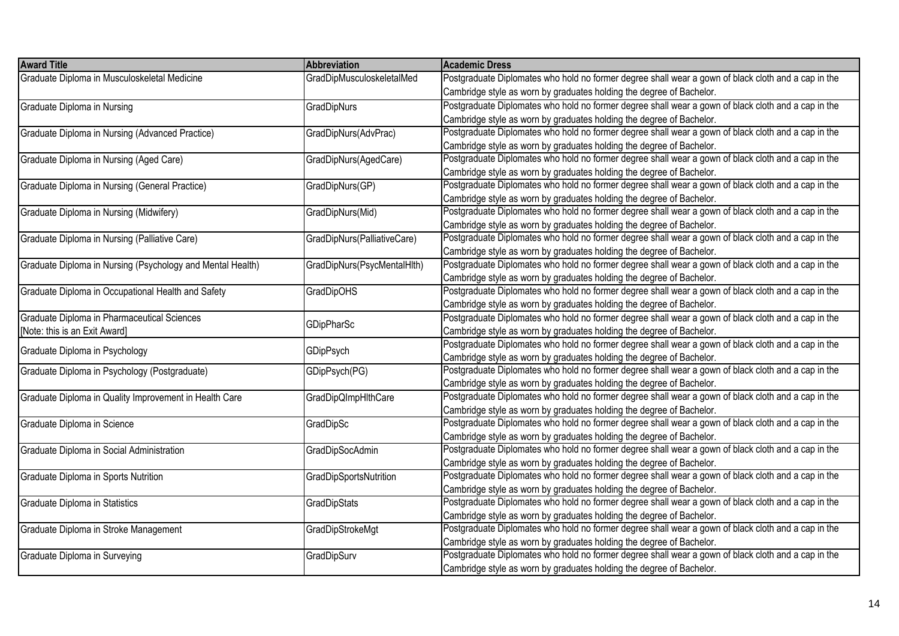| <b>Award Title</b>                                         | Abbreviation                | <b>Academic Dress</b>                                                                               |
|------------------------------------------------------------|-----------------------------|-----------------------------------------------------------------------------------------------------|
| Graduate Diploma in Musculoskeletal Medicine               | GradDipMusculoskeletalMed   | Postgraduate Diplomates who hold no former degree shall wear a gown of black cloth and a cap in the |
|                                                            |                             | Cambridge style as worn by graduates holding the degree of Bachelor.                                |
| Graduate Diploma in Nursing                                | <b>GradDipNurs</b>          | Postgraduate Diplomates who hold no former degree shall wear a gown of black cloth and a cap in the |
|                                                            |                             | Cambridge style as worn by graduates holding the degree of Bachelor.                                |
| Graduate Diploma in Nursing (Advanced Practice)            | GradDipNurs(AdvPrac)        | Postgraduate Diplomates who hold no former degree shall wear a gown of black cloth and a cap in the |
|                                                            |                             | Cambridge style as worn by graduates holding the degree of Bachelor.                                |
| Graduate Diploma in Nursing (Aged Care)                    | GradDipNurs(AgedCare)       | Postgraduate Diplomates who hold no former degree shall wear a gown of black cloth and a cap in the |
|                                                            |                             | Cambridge style as worn by graduates holding the degree of Bachelor.                                |
| Graduate Diploma in Nursing (General Practice)             | GradDipNurs(GP)             | Postgraduate Diplomates who hold no former degree shall wear a gown of black cloth and a cap in the |
|                                                            |                             | Cambridge style as worn by graduates holding the degree of Bachelor.                                |
| Graduate Diploma in Nursing (Midwifery)                    | GradDipNurs(Mid)            | Postgraduate Diplomates who hold no former degree shall wear a gown of black cloth and a cap in the |
|                                                            |                             | Cambridge style as worn by graduates holding the degree of Bachelor.                                |
| Graduate Diploma in Nursing (Palliative Care)              | GradDipNurs(PalliativeCare) | Postgraduate Diplomates who hold no former degree shall wear a gown of black cloth and a cap in the |
|                                                            |                             | Cambridge style as worn by graduates holding the degree of Bachelor.                                |
| Graduate Diploma in Nursing (Psychology and Mental Health) | GradDipNurs(PsycMentalHlth) | Postgraduate Diplomates who hold no former degree shall wear a gown of black cloth and a cap in the |
|                                                            |                             | Cambridge style as worn by graduates holding the degree of Bachelor.                                |
| Graduate Diploma in Occupational Health and Safety         | <b>GradDipOHS</b>           | Postgraduate Diplomates who hold no former degree shall wear a gown of black cloth and a cap in the |
|                                                            |                             | Cambridge style as worn by graduates holding the degree of Bachelor.                                |
| Graduate Diploma in Pharmaceutical Sciences                |                             | Postgraduate Diplomates who hold no former degree shall wear a gown of black cloth and a cap in the |
| [Note: this is an Exit Award]                              | GDipPharSc                  | Cambridge style as worn by graduates holding the degree of Bachelor.                                |
|                                                            |                             | Postgraduate Diplomates who hold no former degree shall wear a gown of black cloth and a cap in the |
| Graduate Diploma in Psychology                             | GDipPsych                   | Cambridge style as worn by graduates holding the degree of Bachelor.                                |
| Graduate Diploma in Psychology (Postgraduate)              | GDipPsych(PG)               | Postgraduate Diplomates who hold no former degree shall wear a gown of black cloth and a cap in the |
|                                                            |                             | Cambridge style as worn by graduates holding the degree of Bachelor.                                |
| Graduate Diploma in Quality Improvement in Health Care     | GradDipQImpHIthCare         | Postgraduate Diplomates who hold no former degree shall wear a gown of black cloth and a cap in the |
|                                                            |                             | Cambridge style as worn by graduates holding the degree of Bachelor.                                |
| Graduate Diploma in Science                                | <b>GradDipSc</b>            | Postgraduate Diplomates who hold no former degree shall wear a gown of black cloth and a cap in the |
|                                                            |                             | Cambridge style as worn by graduates holding the degree of Bachelor.                                |
| Graduate Diploma in Social Administration                  | GradDipSocAdmin             | Postgraduate Diplomates who hold no former degree shall wear a gown of black cloth and a cap in the |
|                                                            |                             | Cambridge style as worn by graduates holding the degree of Bachelor.                                |
| Graduate Diploma in Sports Nutrition                       | GradDipSportsNutrition      | Postgraduate Diplomates who hold no former degree shall wear a gown of black cloth and a cap in the |
|                                                            |                             | Cambridge style as worn by graduates holding the degree of Bachelor.                                |
| Graduate Diploma in Statistics                             | GradDipStats                | Postgraduate Diplomates who hold no former degree shall wear a gown of black cloth and a cap in the |
|                                                            |                             | Cambridge style as worn by graduates holding the degree of Bachelor.                                |
| Graduate Diploma in Stroke Management                      | GradDipStrokeMgt            | Postgraduate Diplomates who hold no former degree shall wear a gown of black cloth and a cap in the |
|                                                            |                             | Cambridge style as worn by graduates holding the degree of Bachelor.                                |
| Graduate Diploma in Surveying                              | GradDipSurv                 | Postgraduate Diplomates who hold no former degree shall wear a gown of black cloth and a cap in the |
|                                                            |                             | Cambridge style as worn by graduates holding the degree of Bachelor.                                |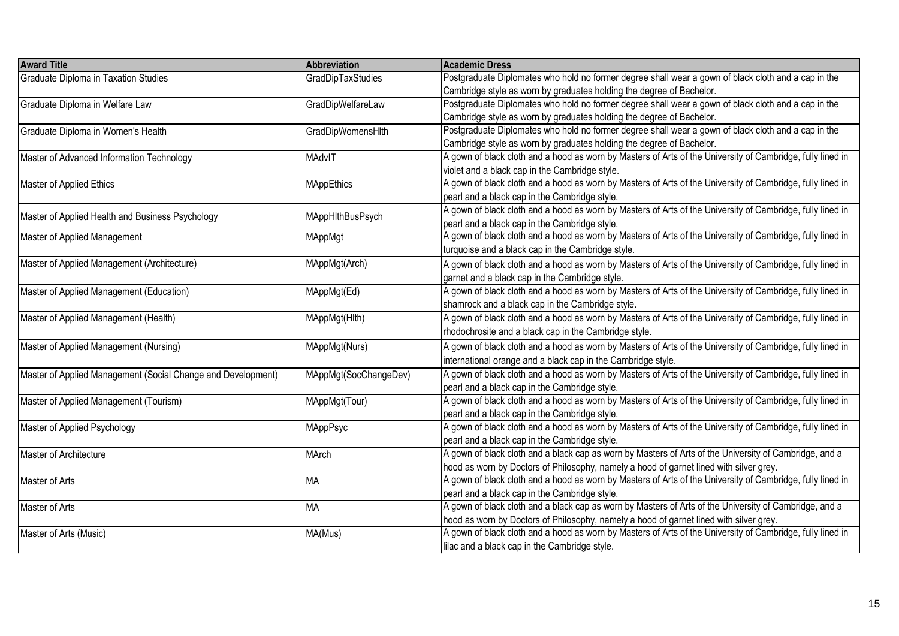| <b>Award Title</b>                                           | <b>Abbreviation</b>      | Academic Dress                                                                                             |
|--------------------------------------------------------------|--------------------------|------------------------------------------------------------------------------------------------------------|
| <b>Graduate Diploma in Taxation Studies</b>                  | GradDipTaxStudies        | Postgraduate Diplomates who hold no former degree shall wear a gown of black cloth and a cap in the        |
|                                                              |                          | Cambridge style as worn by graduates holding the degree of Bachelor.                                       |
| Graduate Diploma in Welfare Law                              | GradDipWelfareLaw        | Postgraduate Diplomates who hold no former degree shall wear a gown of black cloth and a cap in the        |
|                                                              |                          | Cambridge style as worn by graduates holding the degree of Bachelor.                                       |
| Graduate Diploma in Women's Health                           | <b>GradDipWomensHlth</b> | Postgraduate Diplomates who hold no former degree shall wear a gown of black cloth and a cap in the        |
|                                                              |                          | Cambridge style as worn by graduates holding the degree of Bachelor.                                       |
| Master of Advanced Information Technology                    | MAdvIT                   | A gown of black cloth and a hood as worn by Masters of Arts of the University of Cambridge, fully lined in |
|                                                              |                          | violet and a black cap in the Cambridge style.                                                             |
| Master of Applied Ethics                                     | <b>MAppEthics</b>        | A gown of black cloth and a hood as worn by Masters of Arts of the University of Cambridge, fully lined in |
|                                                              |                          | pearl and a black cap in the Cambridge style.                                                              |
|                                                              |                          | A gown of black cloth and a hood as worn by Masters of Arts of the University of Cambridge, fully lined in |
| Master of Applied Health and Business Psychology             | MAppHlthBusPsych         | pearl and a black cap in the Cambridge style.                                                              |
| Master of Applied Management                                 | MAppMgt                  | A gown of black cloth and a hood as worn by Masters of Arts of the University of Cambridge, fully lined in |
|                                                              |                          | turquoise and a black cap in the Cambridge style.                                                          |
| Master of Applied Management (Architecture)                  | MAppMgt(Arch)            | A gown of black cloth and a hood as worn by Masters of Arts of the University of Cambridge, fully lined in |
|                                                              |                          | garnet and a black cap in the Cambridge style.                                                             |
| Master of Applied Management (Education)                     | MAppMgt(Ed)              | A gown of black cloth and a hood as worn by Masters of Arts of the University of Cambridge, fully lined in |
|                                                              |                          | shamrock and a black cap in the Cambridge style.                                                           |
| Master of Applied Management (Health)                        | MAppMgt(Hlth)            | A gown of black cloth and a hood as worn by Masters of Arts of the University of Cambridge, fully lined in |
|                                                              |                          | rhodochrosite and a black cap in the Cambridge style.                                                      |
| Master of Applied Management (Nursing)                       | MAppMgt(Nurs)            | A gown of black cloth and a hood as worn by Masters of Arts of the University of Cambridge, fully lined in |
|                                                              |                          | international orange and a black cap in the Cambridge style.                                               |
| Master of Applied Management (Social Change and Development) | MAppMgt(SocChangeDev)    | A gown of black cloth and a hood as worn by Masters of Arts of the University of Cambridge, fully lined in |
|                                                              |                          | pearl and a black cap in the Cambridge style.                                                              |
| Master of Applied Management (Tourism)                       | MAppMgt(Tour)            | A gown of black cloth and a hood as worn by Masters of Arts of the University of Cambridge, fully lined in |
|                                                              |                          | pearl and a black cap in the Cambridge style.                                                              |
| Master of Applied Psychology                                 | MAppPsyc                 | A gown of black cloth and a hood as worn by Masters of Arts of the University of Cambridge, fully lined in |
|                                                              |                          | pearl and a black cap in the Cambridge style.                                                              |
| Master of Architecture                                       | MArch                    | A gown of black cloth and a black cap as worn by Masters of Arts of the University of Cambridge, and a     |
|                                                              |                          | hood as worn by Doctors of Philosophy, namely a hood of garnet lined with silver grey.                     |
| Master of Arts                                               | <b>MA</b>                | A gown of black cloth and a hood as worn by Masters of Arts of the University of Cambridge, fully lined in |
|                                                              |                          | pearl and a black cap in the Cambridge style.                                                              |
| Master of Arts                                               | <b>MA</b>                | A gown of black cloth and a black cap as worn by Masters of Arts of the University of Cambridge, and a     |
|                                                              |                          | hood as worn by Doctors of Philosophy, namely a hood of garnet lined with silver grey.                     |
| Master of Arts (Music)                                       | MA(Mus)                  | A gown of black cloth and a hood as worn by Masters of Arts of the University of Cambridge, fully lined in |
|                                                              |                          | lilac and a black cap in the Cambridge style.                                                              |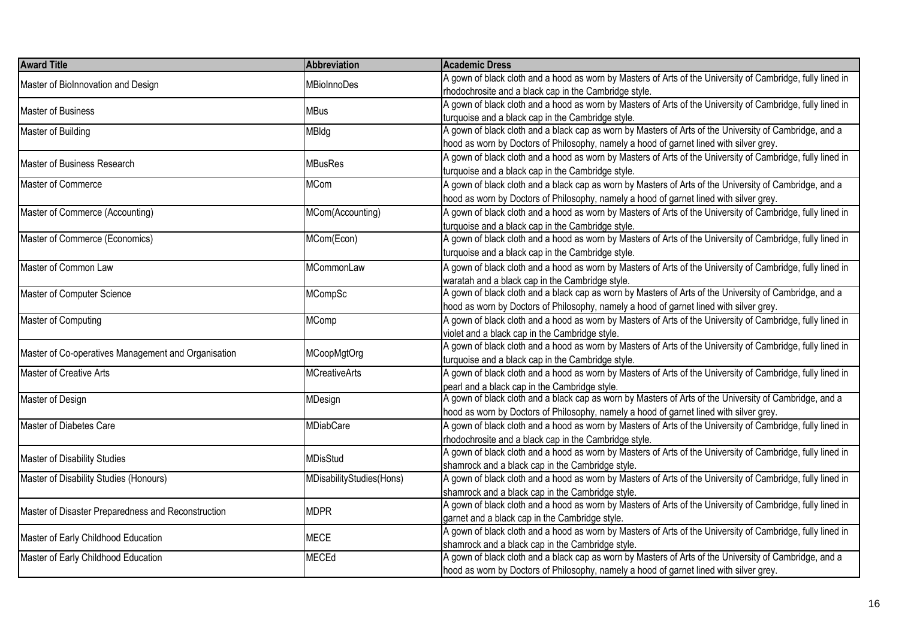| A gown of black cloth and a hood as worn by Masters of Arts of the University of Cambridge, fully lined in<br>Master of Biolnnovation and Design<br><b>MBioInnoDes</b><br>rhodochrosite and a black cap in the Cambridge style.<br>A gown of black cloth and a hood as worn by Masters of Arts of the University of Cambridge, fully lined in<br><b>MBus</b><br>turquoise and a black cap in the Cambridge style.<br>A gown of black cloth and a black cap as worn by Masters of Arts of the University of Cambridge, and a<br>MBldg<br>hood as worn by Doctors of Philosophy, namely a hood of garnet lined with silver grey.<br>A gown of black cloth and a hood as worn by Masters of Arts of the University of Cambridge, fully lined in<br><b>MBusRes</b><br>Master of Business Research<br>turquoise and a black cap in the Cambridge style.<br>Master of Commerce<br><b>MCom</b><br>A gown of black cloth and a black cap as worn by Masters of Arts of the University of Cambridge, and a<br>hood as worn by Doctors of Philosophy, namely a hood of garnet lined with silver grey.<br>Master of Commerce (Accounting)<br>A gown of black cloth and a hood as worn by Masters of Arts of the University of Cambridge, fully lined in<br>MCom(Accounting) |
|------------------------------------------------------------------------------------------------------------------------------------------------------------------------------------------------------------------------------------------------------------------------------------------------------------------------------------------------------------------------------------------------------------------------------------------------------------------------------------------------------------------------------------------------------------------------------------------------------------------------------------------------------------------------------------------------------------------------------------------------------------------------------------------------------------------------------------------------------------------------------------------------------------------------------------------------------------------------------------------------------------------------------------------------------------------------------------------------------------------------------------------------------------------------------------------------------------------------------------------------------------------|
| Master of Business<br>Master of Building                                                                                                                                                                                                                                                                                                                                                                                                                                                                                                                                                                                                                                                                                                                                                                                                                                                                                                                                                                                                                                                                                                                                                                                                                         |
|                                                                                                                                                                                                                                                                                                                                                                                                                                                                                                                                                                                                                                                                                                                                                                                                                                                                                                                                                                                                                                                                                                                                                                                                                                                                  |
|                                                                                                                                                                                                                                                                                                                                                                                                                                                                                                                                                                                                                                                                                                                                                                                                                                                                                                                                                                                                                                                                                                                                                                                                                                                                  |
|                                                                                                                                                                                                                                                                                                                                                                                                                                                                                                                                                                                                                                                                                                                                                                                                                                                                                                                                                                                                                                                                                                                                                                                                                                                                  |
|                                                                                                                                                                                                                                                                                                                                                                                                                                                                                                                                                                                                                                                                                                                                                                                                                                                                                                                                                                                                                                                                                                                                                                                                                                                                  |
|                                                                                                                                                                                                                                                                                                                                                                                                                                                                                                                                                                                                                                                                                                                                                                                                                                                                                                                                                                                                                                                                                                                                                                                                                                                                  |
|                                                                                                                                                                                                                                                                                                                                                                                                                                                                                                                                                                                                                                                                                                                                                                                                                                                                                                                                                                                                                                                                                                                                                                                                                                                                  |
|                                                                                                                                                                                                                                                                                                                                                                                                                                                                                                                                                                                                                                                                                                                                                                                                                                                                                                                                                                                                                                                                                                                                                                                                                                                                  |
|                                                                                                                                                                                                                                                                                                                                                                                                                                                                                                                                                                                                                                                                                                                                                                                                                                                                                                                                                                                                                                                                                                                                                                                                                                                                  |
|                                                                                                                                                                                                                                                                                                                                                                                                                                                                                                                                                                                                                                                                                                                                                                                                                                                                                                                                                                                                                                                                                                                                                                                                                                                                  |
|                                                                                                                                                                                                                                                                                                                                                                                                                                                                                                                                                                                                                                                                                                                                                                                                                                                                                                                                                                                                                                                                                                                                                                                                                                                                  |
| turquoise and a black cap in the Cambridge style.                                                                                                                                                                                                                                                                                                                                                                                                                                                                                                                                                                                                                                                                                                                                                                                                                                                                                                                                                                                                                                                                                                                                                                                                                |
| A gown of black cloth and a hood as worn by Masters of Arts of the University of Cambridge, fully lined in<br>Master of Commerce (Economics)<br>MCom(Econ)                                                                                                                                                                                                                                                                                                                                                                                                                                                                                                                                                                                                                                                                                                                                                                                                                                                                                                                                                                                                                                                                                                       |
| turquoise and a black cap in the Cambridge style.                                                                                                                                                                                                                                                                                                                                                                                                                                                                                                                                                                                                                                                                                                                                                                                                                                                                                                                                                                                                                                                                                                                                                                                                                |
| A gown of black cloth and a hood as worn by Masters of Arts of the University of Cambridge, fully lined in<br>Master of Common Law<br>MCommonLaw                                                                                                                                                                                                                                                                                                                                                                                                                                                                                                                                                                                                                                                                                                                                                                                                                                                                                                                                                                                                                                                                                                                 |
| waratah and a black cap in the Cambridge style.                                                                                                                                                                                                                                                                                                                                                                                                                                                                                                                                                                                                                                                                                                                                                                                                                                                                                                                                                                                                                                                                                                                                                                                                                  |
| A gown of black cloth and a black cap as worn by Masters of Arts of the University of Cambridge, and a<br>Master of Computer Science<br>MCompSc                                                                                                                                                                                                                                                                                                                                                                                                                                                                                                                                                                                                                                                                                                                                                                                                                                                                                                                                                                                                                                                                                                                  |
| hood as worn by Doctors of Philosophy, namely a hood of garnet lined with silver grey.                                                                                                                                                                                                                                                                                                                                                                                                                                                                                                                                                                                                                                                                                                                                                                                                                                                                                                                                                                                                                                                                                                                                                                           |
| Master of Computing<br>A gown of black cloth and a hood as worn by Masters of Arts of the University of Cambridge, fully lined in<br><b>MComp</b>                                                                                                                                                                                                                                                                                                                                                                                                                                                                                                                                                                                                                                                                                                                                                                                                                                                                                                                                                                                                                                                                                                                |
| violet and a black cap in the Cambridge style.                                                                                                                                                                                                                                                                                                                                                                                                                                                                                                                                                                                                                                                                                                                                                                                                                                                                                                                                                                                                                                                                                                                                                                                                                   |
| A gown of black cloth and a hood as worn by Masters of Arts of the University of Cambridge, fully lined in                                                                                                                                                                                                                                                                                                                                                                                                                                                                                                                                                                                                                                                                                                                                                                                                                                                                                                                                                                                                                                                                                                                                                       |
| Master of Co-operatives Management and Organisation<br>MCoopMgtOrg<br>turquoise and a black cap in the Cambridge style.                                                                                                                                                                                                                                                                                                                                                                                                                                                                                                                                                                                                                                                                                                                                                                                                                                                                                                                                                                                                                                                                                                                                          |
| Master of Creative Arts<br>A gown of black cloth and a hood as worn by Masters of Arts of the University of Cambridge, fully lined in<br><b>MCreativeArts</b>                                                                                                                                                                                                                                                                                                                                                                                                                                                                                                                                                                                                                                                                                                                                                                                                                                                                                                                                                                                                                                                                                                    |
| pearl and a black cap in the Cambridge style.                                                                                                                                                                                                                                                                                                                                                                                                                                                                                                                                                                                                                                                                                                                                                                                                                                                                                                                                                                                                                                                                                                                                                                                                                    |
| A gown of black cloth and a black cap as worn by Masters of Arts of the University of Cambridge, and a<br>Master of Design<br>MDesign                                                                                                                                                                                                                                                                                                                                                                                                                                                                                                                                                                                                                                                                                                                                                                                                                                                                                                                                                                                                                                                                                                                            |
| hood as worn by Doctors of Philosophy, namely a hood of garnet lined with silver grey.                                                                                                                                                                                                                                                                                                                                                                                                                                                                                                                                                                                                                                                                                                                                                                                                                                                                                                                                                                                                                                                                                                                                                                           |
| Master of Diabetes Care<br>A gown of black cloth and a hood as worn by Masters of Arts of the University of Cambridge, fully lined in<br><b>MDiabCare</b>                                                                                                                                                                                                                                                                                                                                                                                                                                                                                                                                                                                                                                                                                                                                                                                                                                                                                                                                                                                                                                                                                                        |
| rhodochrosite and a black cap in the Cambridge style.                                                                                                                                                                                                                                                                                                                                                                                                                                                                                                                                                                                                                                                                                                                                                                                                                                                                                                                                                                                                                                                                                                                                                                                                            |
| A gown of black cloth and a hood as worn by Masters of Arts of the University of Cambridge, fully lined in                                                                                                                                                                                                                                                                                                                                                                                                                                                                                                                                                                                                                                                                                                                                                                                                                                                                                                                                                                                                                                                                                                                                                       |
| Master of Disability Studies<br><b>MDisStud</b><br>shamrock and a black cap in the Cambridge style.                                                                                                                                                                                                                                                                                                                                                                                                                                                                                                                                                                                                                                                                                                                                                                                                                                                                                                                                                                                                                                                                                                                                                              |
| Master of Disability Studies (Honours)<br>A gown of black cloth and a hood as worn by Masters of Arts of the University of Cambridge, fully lined in<br>MDisabilityStudies(Hons)                                                                                                                                                                                                                                                                                                                                                                                                                                                                                                                                                                                                                                                                                                                                                                                                                                                                                                                                                                                                                                                                                 |
| shamrock and a black cap in the Cambridge style.                                                                                                                                                                                                                                                                                                                                                                                                                                                                                                                                                                                                                                                                                                                                                                                                                                                                                                                                                                                                                                                                                                                                                                                                                 |
| A gown of black cloth and a hood as worn by Masters of Arts of the University of Cambridge, fully lined in                                                                                                                                                                                                                                                                                                                                                                                                                                                                                                                                                                                                                                                                                                                                                                                                                                                                                                                                                                                                                                                                                                                                                       |
| <b>MDPR</b><br>Master of Disaster Preparedness and Reconstruction<br>garnet and a black cap in the Cambridge style.                                                                                                                                                                                                                                                                                                                                                                                                                                                                                                                                                                                                                                                                                                                                                                                                                                                                                                                                                                                                                                                                                                                                              |
| A gown of black cloth and a hood as worn by Masters of Arts of the University of Cambridge, fully lined in                                                                                                                                                                                                                                                                                                                                                                                                                                                                                                                                                                                                                                                                                                                                                                                                                                                                                                                                                                                                                                                                                                                                                       |
| <b>MECE</b><br>Master of Early Childhood Education<br>shamrock and a black cap in the Cambridge style.                                                                                                                                                                                                                                                                                                                                                                                                                                                                                                                                                                                                                                                                                                                                                                                                                                                                                                                                                                                                                                                                                                                                                           |
| A gown of black cloth and a black cap as worn by Masters of Arts of the University of Cambridge, and a<br>Master of Early Childhood Education<br><b>MECEd</b>                                                                                                                                                                                                                                                                                                                                                                                                                                                                                                                                                                                                                                                                                                                                                                                                                                                                                                                                                                                                                                                                                                    |
| hood as worn by Doctors of Philosophy, namely a hood of garnet lined with silver grey.                                                                                                                                                                                                                                                                                                                                                                                                                                                                                                                                                                                                                                                                                                                                                                                                                                                                                                                                                                                                                                                                                                                                                                           |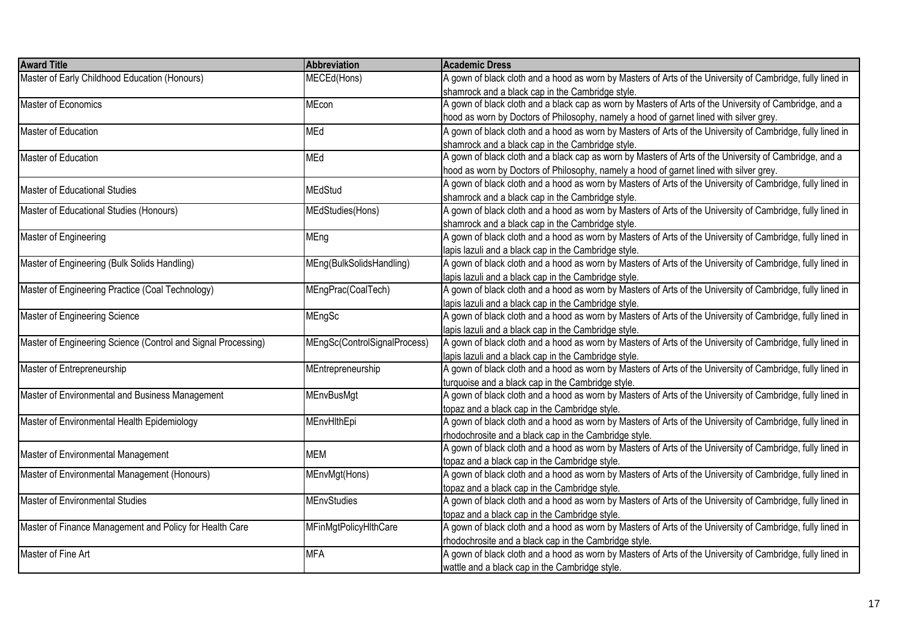| <b>Award Title</b>                                            | Abbreviation                 | <b>Academic Dress</b>                                                                                      |
|---------------------------------------------------------------|------------------------------|------------------------------------------------------------------------------------------------------------|
| Master of Early Childhood Education (Honours)                 | MECEd(Hons)                  | A gown of black cloth and a hood as worn by Masters of Arts of the University of Cambridge, fully lined in |
|                                                               |                              | shamrock and a black cap in the Cambridge style.                                                           |
| Master of Economics                                           | MEcon                        | A gown of black cloth and a black cap as worn by Masters of Arts of the University of Cambridge, and a     |
|                                                               |                              | hood as worn by Doctors of Philosophy, namely a hood of garnet lined with silver grey.                     |
| Master of Education                                           | MEd                          | A gown of black cloth and a hood as worn by Masters of Arts of the University of Cambridge, fully lined in |
|                                                               |                              | shamrock and a black cap in the Cambridge style.                                                           |
| Master of Education                                           | MEd                          | A gown of black cloth and a black cap as worn by Masters of Arts of the University of Cambridge, and a     |
|                                                               |                              | hood as worn by Doctors of Philosophy, namely a hood of garnet lined with silver grey.                     |
|                                                               |                              | A gown of black cloth and a hood as worn by Masters of Arts of the University of Cambridge, fully lined in |
| Master of Educational Studies                                 | <b>MEdStud</b>               | shamrock and a black cap in the Cambridge style.                                                           |
| Master of Educational Studies (Honours)                       | MEdStudies(Hons)             | A gown of black cloth and a hood as worn by Masters of Arts of the University of Cambridge, fully lined in |
|                                                               |                              | shamrock and a black cap in the Cambridge style.                                                           |
| Master of Engineering                                         | MEng                         | A gown of black cloth and a hood as worn by Masters of Arts of the University of Cambridge, fully lined in |
|                                                               |                              | lapis lazuli and a black cap in the Cambridge style.                                                       |
| Master of Engineering (Bulk Solids Handling)                  | MEng(BulkSolidsHandling)     | A gown of black cloth and a hood as worn by Masters of Arts of the University of Cambridge, fully lined in |
|                                                               |                              | lapis lazuli and a black cap in the Cambridge style.                                                       |
| Master of Engineering Practice (Coal Technology)              | MEngPrac(CoalTech)           | A gown of black cloth and a hood as worn by Masters of Arts of the University of Cambridge, fully lined in |
|                                                               |                              | lapis lazuli and a black cap in the Cambridge style.                                                       |
| Master of Engineering Science                                 | MEngSc                       | A gown of black cloth and a hood as worn by Masters of Arts of the University of Cambridge, fully lined in |
|                                                               |                              | lapis lazuli and a black cap in the Cambridge style.                                                       |
| Master of Engineering Science (Control and Signal Processing) | MEngSc(ControlSignalProcess) | A gown of black cloth and a hood as worn by Masters of Arts of the University of Cambridge, fully lined in |
|                                                               |                              | lapis lazuli and a black cap in the Cambridge style.                                                       |
| Master of Entrepreneurship                                    | MEntrepreneurship            | A gown of black cloth and a hood as worn by Masters of Arts of the University of Cambridge, fully lined in |
|                                                               |                              | turquoise and a black cap in the Cambridge style.                                                          |
| Master of Environmental and Business Management               | <b>MEnvBusMgt</b>            | A gown of black cloth and a hood as worn by Masters of Arts of the University of Cambridge, fully lined in |
|                                                               |                              | topaz and a black cap in the Cambridge style.                                                              |
| Master of Environmental Health Epidemiology                   | MEnvHlthEpi                  | A gown of black cloth and a hood as worn by Masters of Arts of the University of Cambridge, fully lined in |
|                                                               |                              | rhodochrosite and a black cap in the Cambridge style.                                                      |
| Master of Environmental Management                            | <b>MEM</b>                   | A gown of black cloth and a hood as worn by Masters of Arts of the University of Cambridge, fully lined in |
|                                                               |                              | topaz and a black cap in the Cambridge style.                                                              |
| Master of Environmental Management (Honours)                  | MEnvMgt(Hons)                | A gown of black cloth and a hood as worn by Masters of Arts of the University of Cambridge, fully lined in |
|                                                               |                              | topaz and a black cap in the Cambridge style.                                                              |
| Master of Environmental Studies                               | <b>MEnvStudies</b>           | A gown of black cloth and a hood as worn by Masters of Arts of the University of Cambridge, fully lined in |
|                                                               |                              | topaz and a black cap in the Cambridge style.                                                              |
| Master of Finance Management and Policy for Health Care       | MFinMgtPolicyHlthCare        | A gown of black cloth and a hood as worn by Masters of Arts of the University of Cambridge, fully lined in |
|                                                               |                              | rhodochrosite and a black cap in the Cambridge style.                                                      |
| Master of Fine Art                                            | <b>MFA</b>                   | A gown of black cloth and a hood as worn by Masters of Arts of the University of Cambridge, fully lined in |
|                                                               |                              | wattle and a black cap in the Cambridge style.                                                             |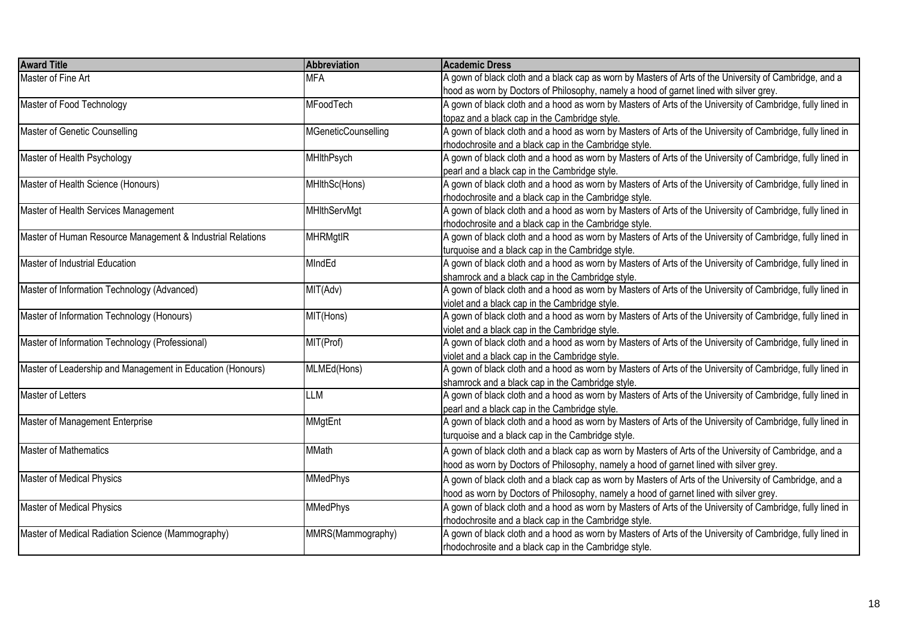| <b>Award Title</b>                                         | Abbreviation        | <b>Academic Dress</b>                                                                                      |
|------------------------------------------------------------|---------------------|------------------------------------------------------------------------------------------------------------|
| Master of Fine Art                                         | <b>MFA</b>          | A gown of black cloth and a black cap as worn by Masters of Arts of the University of Cambridge, and a     |
|                                                            |                     | hood as worn by Doctors of Philosophy, namely a hood of garnet lined with silver grey.                     |
| Master of Food Technology                                  | MFoodTech           | A gown of black cloth and a hood as worn by Masters of Arts of the University of Cambridge, fully lined in |
|                                                            |                     | topaz and a black cap in the Cambridge style.                                                              |
| Master of Genetic Counselling                              | MGeneticCounselling | A gown of black cloth and a hood as worn by Masters of Arts of the University of Cambridge, fully lined in |
|                                                            |                     | rhodochrosite and a black cap in the Cambridge style.                                                      |
| Master of Health Psychology                                | <b>MHIthPsych</b>   | A gown of black cloth and a hood as worn by Masters of Arts of the University of Cambridge, fully lined in |
|                                                            |                     | pearl and a black cap in the Cambridge style.                                                              |
| Master of Health Science (Honours)                         | MHIthSc(Hons)       | A gown of black cloth and a hood as worn by Masters of Arts of the University of Cambridge, fully lined in |
|                                                            |                     | rhodochrosite and a black cap in the Cambridge style.                                                      |
| Master of Health Services Management                       | <b>MHIthServMgt</b> | A gown of black cloth and a hood as worn by Masters of Arts of the University of Cambridge, fully lined in |
|                                                            |                     | rhodochrosite and a black cap in the Cambridge style.                                                      |
| Master of Human Resource Management & Industrial Relations | <b>MHRMgtIR</b>     | A gown of black cloth and a hood as worn by Masters of Arts of the University of Cambridge, fully lined in |
|                                                            |                     | turquoise and a black cap in the Cambridge style.                                                          |
| Master of Industrial Education                             | MIndEd              | A gown of black cloth and a hood as worn by Masters of Arts of the University of Cambridge, fully lined in |
|                                                            |                     | shamrock and a black cap in the Cambridge style.                                                           |
| Master of Information Technology (Advanced)                | MIT(Adv)            | A gown of black cloth and a hood as worn by Masters of Arts of the University of Cambridge, fully lined in |
|                                                            |                     | violet and a black cap in the Cambridge style.                                                             |
| Master of Information Technology (Honours)                 | MIT(Hons)           | A gown of black cloth and a hood as worn by Masters of Arts of the University of Cambridge, fully lined in |
|                                                            |                     | violet and a black cap in the Cambridge style.                                                             |
| Master of Information Technology (Professional)            | MIT(Prof)           | A gown of black cloth and a hood as worn by Masters of Arts of the University of Cambridge, fully lined in |
|                                                            |                     | violet and a black cap in the Cambridge style.                                                             |
| Master of Leadership and Management in Education (Honours) | MLMEd(Hons)         | A gown of black cloth and a hood as worn by Masters of Arts of the University of Cambridge, fully lined in |
|                                                            |                     | shamrock and a black cap in the Cambridge style.                                                           |
| Master of Letters                                          | <b>LLM</b>          | A gown of black cloth and a hood as worn by Masters of Arts of the University of Cambridge, fully lined in |
|                                                            |                     | pearl and a black cap in the Cambridge style.                                                              |
| Master of Management Enterprise                            | <b>MMgtEnt</b>      | A gown of black cloth and a hood as worn by Masters of Arts of the University of Cambridge, fully lined in |
|                                                            |                     | turquoise and a black cap in the Cambridge style.                                                          |
| <b>Master of Mathematics</b>                               | MMath               | A gown of black cloth and a black cap as worn by Masters of Arts of the University of Cambridge, and a     |
|                                                            |                     | hood as worn by Doctors of Philosophy, namely a hood of garnet lined with silver grey.                     |
| Master of Medical Physics                                  | <b>MMedPhys</b>     | A gown of black cloth and a black cap as worn by Masters of Arts of the University of Cambridge, and a     |
|                                                            |                     | hood as worn by Doctors of Philosophy, namely a hood of garnet lined with silver grey.                     |
| Master of Medical Physics                                  | <b>MMedPhys</b>     | A gown of black cloth and a hood as worn by Masters of Arts of the University of Cambridge, fully lined in |
|                                                            |                     | rhodochrosite and a black cap in the Cambridge style.                                                      |
| Master of Medical Radiation Science (Mammography)          | MMRS(Mammography)   | A gown of black cloth and a hood as worn by Masters of Arts of the University of Cambridge, fully lined in |
|                                                            |                     | rhodochrosite and a black cap in the Cambridge style.                                                      |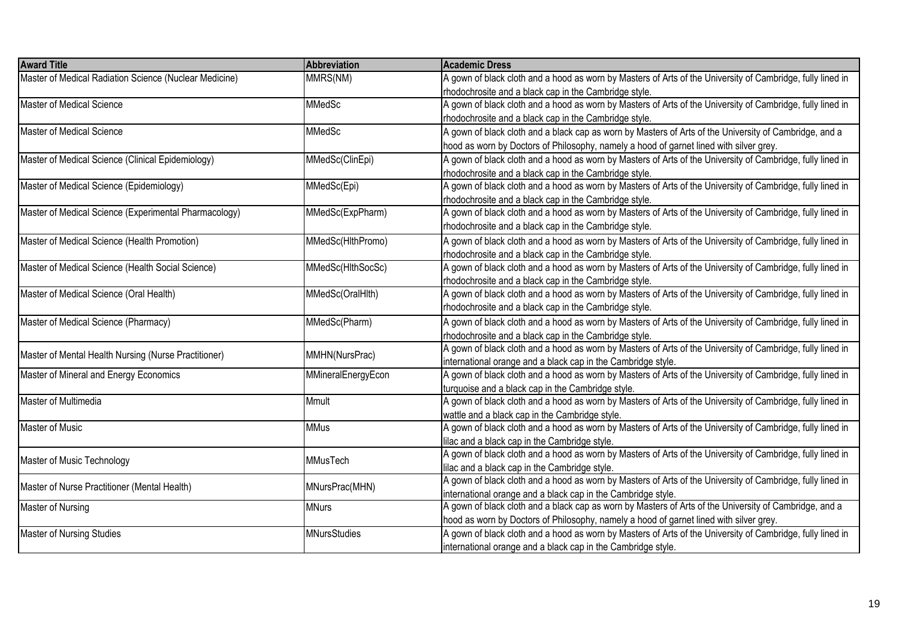| <b>Award Title</b>                                     | Abbreviation        | <b>Academic Dress</b>                                                                                      |
|--------------------------------------------------------|---------------------|------------------------------------------------------------------------------------------------------------|
| Master of Medical Radiation Science (Nuclear Medicine) | MMRS(NM)            | A gown of black cloth and a hood as worn by Masters of Arts of the University of Cambridge, fully lined in |
|                                                        |                     | rhodochrosite and a black cap in the Cambridge style.                                                      |
| Master of Medical Science                              | MMedSc              | A gown of black cloth and a hood as worn by Masters of Arts of the University of Cambridge, fully lined in |
|                                                        |                     | rhodochrosite and a black cap in the Cambridge style.                                                      |
| Master of Medical Science                              | <b>MMedSc</b>       | A gown of black cloth and a black cap as worn by Masters of Arts of the University of Cambridge, and a     |
|                                                        |                     | hood as worn by Doctors of Philosophy, namely a hood of garnet lined with silver grey.                     |
| Master of Medical Science (Clinical Epidemiology)      | MMedSc(ClinEpi)     | A gown of black cloth and a hood as worn by Masters of Arts of the University of Cambridge, fully lined in |
|                                                        |                     | rhodochrosite and a black cap in the Cambridge style.                                                      |
| Master of Medical Science (Epidemiology)               | MMedSc(Epi)         | A gown of black cloth and a hood as worn by Masters of Arts of the University of Cambridge, fully lined in |
|                                                        |                     | rhodochrosite and a black cap in the Cambridge style.                                                      |
| Master of Medical Science (Experimental Pharmacology)  | MMedSc(ExpPharm)    | A gown of black cloth and a hood as worn by Masters of Arts of the University of Cambridge, fully lined in |
|                                                        |                     | rhodochrosite and a black cap in the Cambridge style.                                                      |
| Master of Medical Science (Health Promotion)           | MMedSc(HlthPromo)   | A gown of black cloth and a hood as worn by Masters of Arts of the University of Cambridge, fully lined in |
|                                                        |                     | rhodochrosite and a black cap in the Cambridge style.                                                      |
| Master of Medical Science (Health Social Science)      | MMedSc(HlthSocSc)   | A gown of black cloth and a hood as worn by Masters of Arts of the University of Cambridge, fully lined in |
|                                                        |                     | rhodochrosite and a black cap in the Cambridge style.                                                      |
| Master of Medical Science (Oral Health)                | MMedSc(OralHlth)    | A gown of black cloth and a hood as worn by Masters of Arts of the University of Cambridge, fully lined in |
|                                                        |                     | rhodochrosite and a black cap in the Cambridge style.                                                      |
| Master of Medical Science (Pharmacy)                   | MMedSc(Pharm)       | A gown of black cloth and a hood as worn by Masters of Arts of the University of Cambridge, fully lined in |
|                                                        |                     | rhodochrosite and a black cap in the Cambridge style.                                                      |
|                                                        |                     | A gown of black cloth and a hood as worn by Masters of Arts of the University of Cambridge, fully lined in |
| Master of Mental Health Nursing (Nurse Practitioner)   | MMHN(NursPrac)      | international orange and a black cap in the Cambridge style.                                               |
| Master of Mineral and Energy Economics                 | MMineralEnergyEcon  | A gown of black cloth and a hood as worn by Masters of Arts of the University of Cambridge, fully lined in |
|                                                        |                     | turquoise and a black cap in the Cambridge style.                                                          |
| Master of Multimedia                                   | <b>Mmult</b>        | A gown of black cloth and a hood as worn by Masters of Arts of the University of Cambridge, fully lined in |
|                                                        |                     | wattle and a black cap in the Cambridge style.                                                             |
| Master of Music                                        | <b>MMus</b>         | A gown of black cloth and a hood as worn by Masters of Arts of the University of Cambridge, fully lined in |
|                                                        |                     | lilac and a black cap in the Cambridge style.                                                              |
| Master of Music Technology                             | <b>MMusTech</b>     | A gown of black cloth and a hood as worn by Masters of Arts of the University of Cambridge, fully lined in |
|                                                        |                     | lilac and a black cap in the Cambridge style.                                                              |
| Master of Nurse Practitioner (Mental Health)           | MNursPrac(MHN)      | A gown of black cloth and a hood as worn by Masters of Arts of the University of Cambridge, fully lined in |
|                                                        |                     | international orange and a black cap in the Cambridge style.                                               |
| Master of Nursing                                      | <b>MNurs</b>        | A gown of black cloth and a black cap as worn by Masters of Arts of the University of Cambridge, and a     |
|                                                        |                     | hood as worn by Doctors of Philosophy, namely a hood of garnet lined with silver grey.                     |
| <b>Master of Nursing Studies</b>                       | <b>MNursStudies</b> | A gown of black cloth and a hood as worn by Masters of Arts of the University of Cambridge, fully lined in |
|                                                        |                     | international orange and a black cap in the Cambridge style.                                               |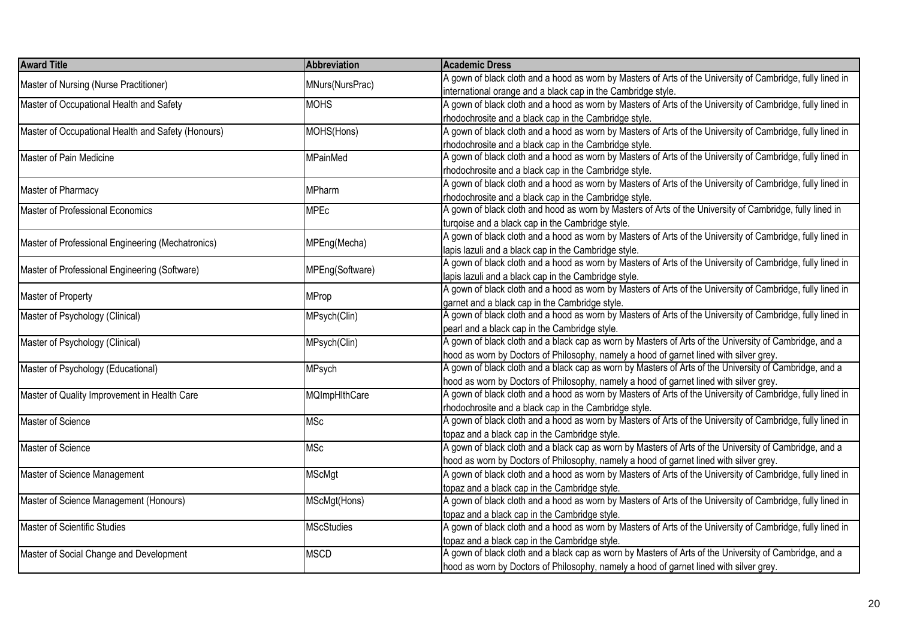| <b>Award Title</b>                                 | Abbreviation      | <b>Academic Dress</b>                                                                                      |
|----------------------------------------------------|-------------------|------------------------------------------------------------------------------------------------------------|
| Master of Nursing (Nurse Practitioner)             | MNurs(NursPrac)   | A gown of black cloth and a hood as worn by Masters of Arts of the University of Cambridge, fully lined in |
|                                                    |                   | international orange and a black cap in the Cambridge style.                                               |
| Master of Occupational Health and Safety           | <b>MOHS</b>       | A gown of black cloth and a hood as worn by Masters of Arts of the University of Cambridge, fully lined in |
|                                                    |                   | rhodochrosite and a black cap in the Cambridge style.                                                      |
| Master of Occupational Health and Safety (Honours) | MOHS(Hons)        | A gown of black cloth and a hood as worn by Masters of Arts of the University of Cambridge, fully lined in |
|                                                    |                   | rhodochrosite and a black cap in the Cambridge style.                                                      |
| Master of Pain Medicine                            | <b>MPainMed</b>   | A gown of black cloth and a hood as worn by Masters of Arts of the University of Cambridge, fully lined in |
|                                                    |                   | rhodochrosite and a black cap in the Cambridge style.                                                      |
| Master of Pharmacy                                 | MPharm            | A gown of black cloth and a hood as worn by Masters of Arts of the University of Cambridge, fully lined in |
|                                                    |                   | rhodochrosite and a black cap in the Cambridge style.                                                      |
| Master of Professional Economics                   | <b>MPEc</b>       | A gown of black cloth and hood as worn by Masters of Arts of the University of Cambridge, fully lined in   |
|                                                    |                   | turqoise and a black cap in the Cambridge style.                                                           |
|                                                    |                   | A gown of black cloth and a hood as worn by Masters of Arts of the University of Cambridge, fully lined in |
| Master of Professional Engineering (Mechatronics)  | MPEng(Mecha)      | lapis lazuli and a black cap in the Cambridge style.                                                       |
|                                                    |                   | A gown of black cloth and a hood as worn by Masters of Arts of the University of Cambridge, fully lined in |
| Master of Professional Engineering (Software)      | MPEng(Software)   | lapis lazuli and a black cap in the Cambridge style.                                                       |
|                                                    |                   | A gown of black cloth and a hood as worn by Masters of Arts of the University of Cambridge, fully lined in |
| Master of Property                                 | <b>MProp</b>      | garnet and a black cap in the Cambridge style.                                                             |
| Master of Psychology (Clinical)                    | MPsych(Clin)      | A gown of black cloth and a hood as worn by Masters of Arts of the University of Cambridge, fully lined in |
|                                                    |                   | pearl and a black cap in the Cambridge style.                                                              |
| Master of Psychology (Clinical)                    | MPsych(Clin)      | A gown of black cloth and a black cap as worn by Masters of Arts of the University of Cambridge, and a     |
|                                                    |                   | hood as worn by Doctors of Philosophy, namely a hood of garnet lined with silver grey.                     |
| Master of Psychology (Educational)                 | MPsych            | A gown of black cloth and a black cap as worn by Masters of Arts of the University of Cambridge, and a     |
|                                                    |                   | hood as worn by Doctors of Philosophy, namely a hood of garnet lined with silver grey.                     |
| Master of Quality Improvement in Health Care       | MQImpHlthCare     | A gown of black cloth and a hood as worn by Masters of Arts of the University of Cambridge, fully lined in |
|                                                    |                   | rhodochrosite and a black cap in the Cambridge style.                                                      |
| Master of Science                                  | <b>MSc</b>        | A gown of black cloth and a hood as worn by Masters of Arts of the University of Cambridge, fully lined in |
|                                                    |                   | topaz and a black cap in the Cambridge style.                                                              |
| Master of Science                                  | <b>MSc</b>        | A gown of black cloth and a black cap as worn by Masters of Arts of the University of Cambridge, and a     |
|                                                    |                   | hood as worn by Doctors of Philosophy, namely a hood of garnet lined with silver grey.                     |
| Master of Science Management                       | <b>MScMgt</b>     | A gown of black cloth and a hood as worn by Masters of Arts of the University of Cambridge, fully lined in |
|                                                    |                   | topaz and a black cap in the Cambridge style.                                                              |
| Master of Science Management (Honours)             | MScMgt(Hons)      | A gown of black cloth and a hood as worn by Masters of Arts of the University of Cambridge, fully lined in |
|                                                    |                   | topaz and a black cap in the Cambridge style.                                                              |
| <b>Master of Scientific Studies</b>                | <b>MScStudies</b> | A gown of black cloth and a hood as worn by Masters of Arts of the University of Cambridge, fully lined in |
|                                                    |                   | topaz and a black cap in the Cambridge style.                                                              |
| Master of Social Change and Development            | <b>MSCD</b>       | A gown of black cloth and a black cap as worn by Masters of Arts of the University of Cambridge, and a     |
|                                                    |                   | hood as worn by Doctors of Philosophy, namely a hood of garnet lined with silver grey.                     |